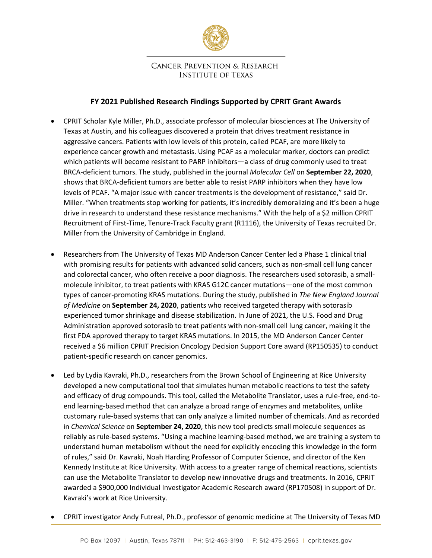

## **CANCER PREVENTION & RESEARCH INSTITUTE OF TEXAS**

# **FY 2021 Published Research Findings Supported by CPRIT Grant Awards**

- CPRIT Scholar Kyle Miller, Ph.D., associate professor of molecular biosciences at The University of Texas at Austin, and his colleagues discovered a protein that drives treatment resistance in aggressive cancers. Patients with low levels of this protein, called PCAF, are more likely to experience cancer growth and metastasis. Using PCAF as a molecular marker, doctors can predict which patients will become resistant to PARP inhibitors—a class of drug commonly used to treat BRCA-deficient tumors. The study, published in the journal *Molecular Cell* on **September 22, 2020**, shows that BRCA-deficient tumors are better able to resist PARP inhibitors when they have low levels of PCAF. "A major issue with cancer treatments is the development of resistance," said Dr. Miller. "When treatments stop working for patients, it's incredibly demoralizing and it's been a huge drive in research to understand these resistance mechanisms." With the help of a \$2 million CPRIT Recruitment of First-Time, Tenure-Track Faculty grant (R1116), the University of Texas recruited Dr. Miller from the University of Cambridge in England.
- Researchers from The University of Texas MD Anderson Cancer Center led a Phase 1 clinical trial with promising results for patients with advanced solid cancers, such as non-small cell lung cancer and colorectal cancer, who often receive a poor diagnosis. The researchers used sotorasib, a smallmolecule inhibitor, to treat patients with KRAS G12C cancer mutations—one of the most common types of cancer-promoting KRAS mutations. During the study, published in *The New England Journal of Medicine* on **September 24, 2020**, patients who received targeted therapy with sotorasib experienced tumor shrinkage and disease stabilization. In June of 2021, the U.S. Food and Drug Administration approved sotorasib to treat patients with non-small cell lung cancer, making it the first FDA approved therapy to target KRAS mutations. In 2015, the MD Anderson Cancer Center received a \$6 million CPRIT Precision Oncology Decision Support Core award (RP150535) to conduct patient-specific research on cancer genomics.
- Led by Lydia Kavraki, Ph.D., researchers from the Brown School of Engineering at Rice University developed a new computational tool that simulates human metabolic reactions to test the safety and efficacy of drug compounds. This tool, called the Metabolite Translator, uses a rule-free, end-toend learning-based method that can analyze a broad range of enzymes and metabolites, unlike customary rule-based systems that can only analyze a limited number of chemicals. And as recorded in *Chemical Science* on **September 24, 2020**, this new tool predicts small molecule sequences as reliably as rule-based systems. "Using a machine learning-based method, we are training a system to understand human metabolism without the need for explicitly encoding this knowledge in the form of rules," said Dr. Kavraki, Noah Harding Professor of Computer Science, and director of the Ken Kennedy Institute at Rice University. With access to a greater range of chemical reactions, scientists can use the Metabolite Translator to develop new innovative drugs and treatments. In 2016, CPRIT awarded a \$900,000 Individual Investigator Academic Research award (RP170508) in support of Dr. Kavraki's work at Rice University.
- CPRIT investigator Andy Futreal, Ph.D., professor of genomic medicine at The University of Texas MD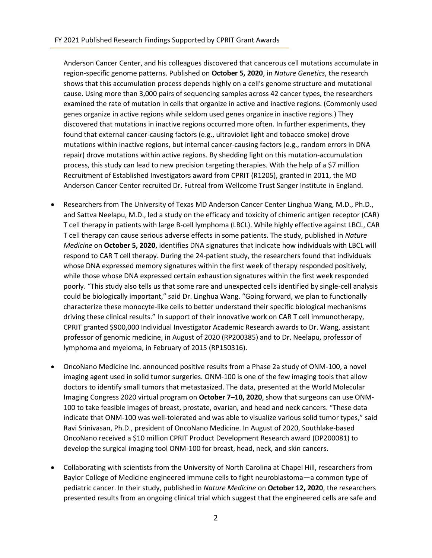Anderson Cancer Center, and his colleagues discovered that cancerous cell mutations accumulate in region-specific genome patterns. Published on **October 5, 2020**, in *Nature Genetics*, the research shows that this accumulation process depends highly on a cell's genome structure and mutational cause. Using more than 3,000 pairs of sequencing samples across 42 cancer types, the researchers examined the rate of mutation in cells that organize in active and inactive regions. (Commonly used genes organize in active regions while seldom used genes organize in inactive regions.) They discovered that mutations in inactive regions occurred more often. In further experiments, they found that external cancer-causing factors (e.g., ultraviolet light and tobacco smoke) drove mutations within inactive regions, but internal cancer-causing factors (e.g., random errors in DNA repair) drove mutations within active regions. By shedding light on this mutation-accumulation process, this study can lead to new precision targeting therapies. With the help of a \$7 million Recruitment of Established Investigators award from CPRIT (R1205), granted in 2011, the MD Anderson Cancer Center recruited Dr. Futreal from Wellcome Trust Sanger Institute in England.

- Researchers from The University of Texas MD Anderson Cancer Center Linghua Wang, M.D., Ph.D., and Sattva Neelapu, M.D., led a study on the efficacy and toxicity of chimeric antigen receptor (CAR) T cell therapy in patients with large B-cell lymphoma (LBCL). While highly effective against LBCL, CAR T cell therapy can cause serious adverse effects in some patients. The study, published in *Nature Medicine* on **October 5, 2020**, identifies DNA signatures that indicate how individuals with LBCL will respond to CAR T cell therapy. During the 24-patient study, the researchers found that individuals whose DNA expressed memory signatures within the first week of therapy responded positively, while those whose DNA expressed certain exhaustion signatures within the first week responded poorly. "This study also tells us that some rare and unexpected cells identified by single-cell analysis could be biologically important," said Dr. Linghua Wang. "Going forward, we plan to functionally characterize these monocyte-like cells to better understand their specific biological mechanisms driving these clinical results." In support of their innovative work on CAR T cell immunotherapy, CPRIT granted \$900,000 Individual Investigator Academic Research awards to Dr. Wang, assistant professor of genomic medicine, in August of 2020 (RP200385) and to Dr. Neelapu, professor of lymphoma and myeloma, in February of 2015 (RP150316).
- OncoNano Medicine Inc. announced positive results from a Phase 2a study of ONM-100, a novel imaging agent used in solid tumor surgeries. ONM-100 is one of the few imaging tools that allow doctors to identify small tumors that metastasized. The data, presented at the World Molecular Imaging Congress 2020 virtual program on **October 7–10, 2020**, show that surgeons can use ONM-100 to take feasible images of breast, prostate, ovarian, and head and neck cancers. "These data indicate that ONM-100 was well-tolerated and was able to visualize various solid tumor types," said Ravi Srinivasan, Ph.D., president of OncoNano Medicine. In August of 2020, Southlake-based OncoNano received a \$10 million CPRIT Product Development Research award (DP200081) to develop the surgical imaging tool ONM-100 for breast, head, neck, and skin cancers.
- Collaborating with scientists from the University of North Carolina at Chapel Hill, researchers from Baylor College of Medicine engineered immune cells to fight neuroblastoma—a common type of pediatric cancer. In their study, published in *Nature Medicine* on **October 12, 2020**, the researchers presented results from an ongoing clinical trial which suggest that the engineered cells are safe and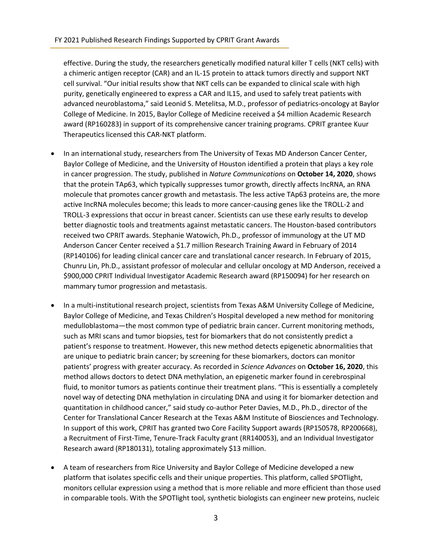effective. During the study, the researchers genetically modified natural killer T cells (NKT cells) with a chimeric antigen receptor (CAR) and an IL-15 protein to attack tumors directly and support NKT cell survival. "Our initial results show that NKT cells can be expanded to clinical scale with high purity, genetically engineered to express a CAR and IL15, and used to safely treat patients with advanced neuroblastoma," said Leonid S. Metelitsa, M.D., professor of pediatrics-oncology at Baylor College of Medicine. In 2015, Baylor College of Medicine received a \$4 million Academic Research award (RP160283) in support of its comprehensive cancer training programs. CPRIT grantee Kuur Therapeutics licensed this CAR-NKT platform.

- In an international study, researchers from The University of Texas MD Anderson Cancer Center, Baylor College of Medicine, and the University of Houston identified a protein that plays a key role in cancer progression. The study, published in *Nature Communications* on **October 14, 2020**, shows that the protein TAp63, which typically suppresses tumor growth, directly affects IncRNA, an RNA molecule that promotes cancer growth and metastasis. The less active TAp63 proteins are, the more active IncRNA molecules become; this leads to more cancer-causing genes like the TROLL-2 and TROLL-3 expressions that occur in breast cancer. Scientists can use these early results to develop better diagnostic tools and treatments against metastatic cancers. The Houston-based contributors received two CPRIT awards. Stephanie Watowich, Ph.D., professor of immunology at the UT MD Anderson Cancer Center received a \$1.7 million Research Training Award in February of 2014 (RP140106) for leading clinical cancer care and translational cancer research. In February of 2015, Chunru Lin, Ph.D., assistant professor of molecular and cellular oncology at MD Anderson, received a \$900,000 CPRIT Individual Investigator Academic Research award (RP150094) for her research on mammary tumor progression and metastasis.
- In a multi-institutional research project, scientists from Texas A&M University College of Medicine, Baylor College of Medicine, and Texas Children's Hospital developed a new method for monitoring medulloblastoma—the most common type of pediatric brain cancer. Current monitoring methods, such as MRI scans and tumor biopsies, test for biomarkers that do not consistently predict a patient's response to treatment. However, this new method detects epigenetic abnormalities that are unique to pediatric brain cancer; by screening for these biomarkers, doctors can monitor patients' progress with greater accuracy. As recorded in *Science Advances* on **October 16, 2020**, this method allows doctors to detect DNA methylation, an epigenetic marker found in cerebrospinal fluid, to monitor tumors as patients continue their treatment plans. "This is essentially a completely novel way of detecting DNA methylation in circulating DNA and using it for biomarker detection and quantitation in childhood cancer," said study co-author Peter Davies, M.D., Ph.D., director of the Center for Translational Cancer Research at the Texas A&M Institute of Biosciences and Technology. In support of this work, CPRIT has granted two Core Facility Support awards (RP150578, RP200668), a Recruitment of First-Time, Tenure-Track Faculty grant (RR140053), and an Individual Investigator Research award (RP180131), totaling approximately \$13 million.
- A team of researchers from Rice University and Baylor College of Medicine developed a new platform that isolates specific cells and their unique properties. This platform, called SPOTlight, monitors cellular expression using a method that is more reliable and more efficient than those used in comparable tools. With the SPOTlight tool, synthetic biologists can engineer new proteins, nucleic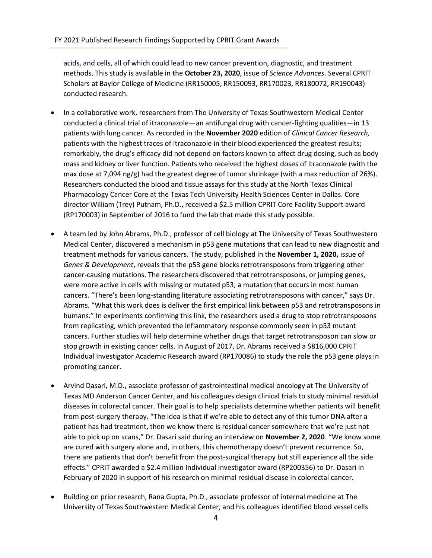acids, and cells, all of which could lead to new cancer prevention, diagnostic, and treatment methods. This study is available in the **October 23, 2020**, issue of *Science Advances*. Several CPRIT Scholars at Baylor College of Medicine (RR150005, RR150093, RR170023, RR180072, RR190043) conducted research.

- In a collaborative work, researchers from The University of Texas Southwestern Medical Center conducted a clinical trial of itraconazole—an antifungal drug with cancer-fighting qualities—in 13 patients with lung cancer. As recorded in the **November 2020** edition of *Clinical Cancer Research,* patients with the highest traces of itraconazole in their blood experienced the greatest results; remarkably, the drug's efficacy did not depend on factors known to affect drug dosing, such as body mass and kidney or liver function. Patients who received the highest doses of itraconazole (with the max dose at 7,094 ng/g) had the greatest degree of tumor shrinkage (with a max reduction of 26%). Researchers conducted the blood and tissue assays for this study at the North Texas Clinical Pharmacology Cancer Core at the Texas Tech University Health Sciences Center in Dallas. Core director William (Trey) Putnam, Ph.D., received a \$2.5 million CPRIT Core Facility Support award (RP170003) in September of 2016 to fund the lab that made this study possible.
- A team led by John Abrams, Ph.D., professor of cell biology at The University of Texas Southwestern Medical Center, discovered a mechanism in p53 gene mutations that can lead to new diagnostic and treatment methods for various cancers. The study, published in the **November 1, 2020,** issue of *Genes & Development*, reveals that the p53 gene blocks retrotransposons from triggering other cancer-causing mutations. The researchers discovered that retrotransposons, or jumping genes, were more active in cells with missing or mutated p53, a mutation that occurs in most human cancers. "There's been long-standing literature associating retrotransposons with cancer," says Dr. Abrams. "What this work does is deliver the first empirical link between p53 and retrotransposons in humans." In experiments confirming this link, the researchers used a drug to stop retrotransposons from replicating, which prevented the inflammatory response commonly seen in p53 mutant cancers. Further studies will help determine whether drugs that target retrotransposon can slow or stop growth in existing cancer cells. In August of 2017, Dr. Abrams received a \$816,000 CPRIT Individual Investigator Academic Research award (RP170086) to study the role the p53 gene plays in promoting cancer.
- Arvind Dasari, M.D., associate professor of gastrointestinal medical oncology at The University of Texas MD Anderson Cancer Center, and his colleagues design clinical trials to study minimal residual diseases in colorectal cancer. Their goal is to help specialists determine whether patients will benefit from post-surgery therapy. "The idea is that if we're able to detect any of this tumor DNA after a patient has had treatment, then we know there is residual cancer somewhere that we're just not able to pick up on scans," Dr. Dasari said during an interview on **November 2, 2020**. "We know some are cured with surgery alone and, in others, this chemotherapy doesn't prevent recurrence. So, there are patients that don't benefit from the post-surgical therapy but still experience all the side effects." CPRIT awarded a \$2.4 million Individual Investigator award (RP200356) to Dr. Dasari in February of 2020 in support of his research on minimal residual disease in colorectal cancer.
- Building on prior research, Rana Gupta, Ph.D., associate professor of internal medicine at The University of Texas Southwestern Medical Center, and his colleagues identified blood vessel cells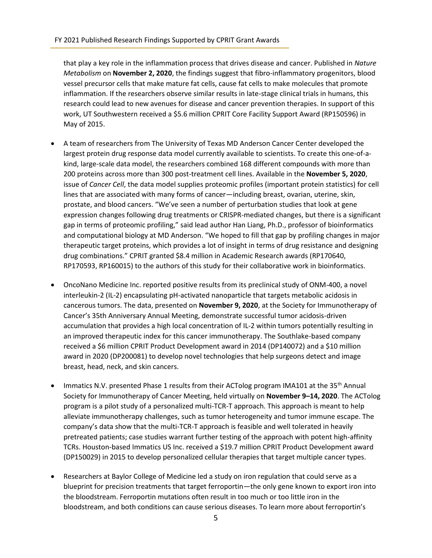that play a key role in the inflammation process that drives disease and cancer. Published in *Nature Metabolism* on **November 2, 2020**, the findings suggest that fibro-inflammatory progenitors, blood vessel precursor cells that make mature fat cells, cause fat cells to make molecules that promote inflammation. If the researchers observe similar results in late-stage clinical trials in humans, this research could lead to new avenues for disease and cancer prevention therapies. In support of this work, UT Southwestern received a \$5.6 million CPRIT Core Facility Support Award (RP150596) in May of 2015.

- A team of researchers from The University of Texas MD Anderson Cancer Center developed the largest protein drug response data model currently available to scientists. To create this one-of-akind, large-scale data model, the researchers combined 168 different compounds with more than 200 proteins across more than 300 post-treatment cell lines. Available in the **November 5, 2020**, issue of *Cancer Cell*, the data model supplies proteomic profiles (important protein statistics) for cell lines that are associated with many forms of cancer—including breast, ovarian, uterine, skin, prostate, and blood cancers. "We've seen a number of perturbation studies that look at gene expression changes following drug treatments or CRISPR-mediated changes, but there is a significant gap in terms of proteomic profiling," said lead author Han Liang, Ph.D., professor of bioinformatics and computational biology at MD Anderson. "We hoped to fill that gap by profiling changes in major therapeutic target proteins, which provides a lot of insight in terms of drug resistance and designing drug combinations." CPRIT granted \$8.4 million in Academic Research awards (RP170640, RP170593, RP160015) to the authors of this study for their collaborative work in bioinformatics.
- OncoNano Medicine Inc. reported positive results from its preclinical study of ONM-400, a novel interleukin-2 (IL-2) encapsulating pH-activated nanoparticle that targets metabolic acidosis in cancerous tumors. The data, presented on **November 9, 2020**, at the Society for Immunotherapy of Cancer's 35th Anniversary Annual Meeting, demonstrate successful tumor acidosis-driven accumulation that provides a high local concentration of IL-2 within tumors potentially resulting in an improved therapeutic index for this cancer immunotherapy. The Southlake-based company received a \$6 million CPRIT Product Development award in 2014 (DP140072) and a \$10 million award in 2020 (DP200081) to develop novel technologies that help surgeons detect and image breast, head, neck, and skin cancers.
- Immatics N.V. presented Phase 1 results from their ACTolog program IMA101 at the 35<sup>th</sup> Annual Society for Immunotherapy of Cancer Meeting, held virtually on **November 9–14, 2020**. The ACTolog program is a pilot study of a personalized multi-TCR-T approach. This approach is meant to help alleviate immunotherapy challenges, such as tumor heterogeneity and tumor immune escape. The company's data show that the multi-TCR-T approach is feasible and well tolerated in heavily pretreated patients; case studies warrant further testing of the approach with potent high-affinity TCRs. Houston-based Immatics US Inc. received a \$19.7 million CPRIT Product Development award (DP150029) in 2015 to develop personalized cellular therapies that target multiple cancer types.
- Researchers at Baylor College of Medicine led a study on iron regulation that could serve as a blueprint for precision treatments that target ferroportin—the only gene known to export iron into the bloodstream. Ferroportin mutations often result in too much or too little iron in the bloodstream, and both conditions can cause serious diseases. To learn more about ferroportin's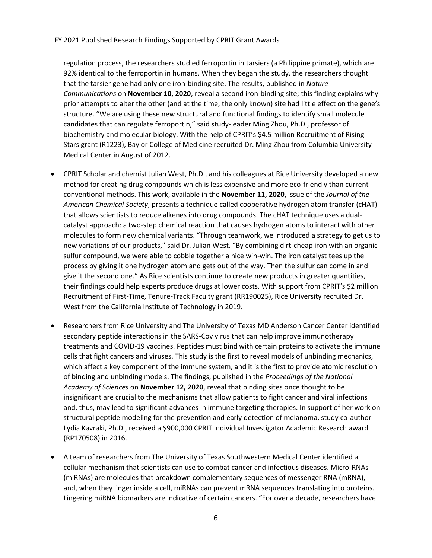regulation process, the researchers studied ferroportin in tarsiers (a Philippine primate), which are 92% identical to the ferroportin in humans. When they began the study, the researchers thought that the tarsier gene had only one iron-binding site. The results, published in *Nature Communications* on **November 10, 2020**, reveal a second iron-binding site; this finding explains why prior attempts to alter the other (and at the time, the only known) site had little effect on the gene's structure. "We are using these new structural and functional findings to identify small molecule candidates that can regulate ferroportin," said study-leader Ming Zhou, Ph.D., professor of biochemistry and molecular biology. With the help of CPRIT's \$4.5 million Recruitment of Rising Stars grant (R1223), Baylor College of Medicine recruited Dr. Ming Zhou from Columbia University Medical Center in August of 2012.

- CPRIT Scholar and chemist Julian West, Ph.D., and his colleagues at Rice University developed a new method for creating drug compounds which is less expensive and more eco-friendly than current conventional methods. This work, available in the **November 11, 2020**, issue of the *Journal of the American Chemical Society*, presents a technique called cooperative hydrogen atom transfer (cHAT) that allows scientists to reduce alkenes into drug compounds. The cHAT technique uses a dualcatalyst approach: a two-step chemical reaction that causes hydrogen atoms to interact with other molecules to form new chemical variants. "Through teamwork, we introduced a strategy to get us to new variations of our products," said Dr. Julian West. "By combining dirt-cheap iron with an organic sulfur compound, we were able to cobble together a nice win-win. The iron catalyst tees up the process by giving it one hydrogen atom and gets out of the way. Then the sulfur can come in and give it the second one." As Rice scientists continue to create new products in greater quantities, their findings could help experts produce drugs at lower costs. With support from CPRIT's \$2 million Recruitment of First-Time, Tenure-Track Faculty grant (RR190025), Rice University recruited Dr. West from the California Institute of Technology in 2019.
- Researchers from Rice University and The University of Texas MD Anderson Cancer Center identified secondary peptide interactions in the SARS-Cov virus that can help improve immunotherapy treatments and COVID-19 vaccines. Peptides must bind with certain proteins to activate the immune cells that fight cancers and viruses. This study is the first to reveal models of unbinding mechanics, which affect a key component of the immune system, and it is the first to provide atomic resolution of binding and unbinding models. The findings, published in the *Proceedings of the National Academy of Sciences* on **November 12, 2020**, reveal that binding sites once thought to be insignificant are crucial to the mechanisms that allow patients to fight cancer and viral infections and, thus, may lead to significant advances in immune targeting therapies. In support of her work on structural peptide modeling for the prevention and early detection of melanoma, study co-author Lydia Kavraki, Ph.D., received a \$900,000 CPRIT Individual Investigator Academic Research award (RP170508) in 2016.
- A team of researchers from The University of Texas Southwestern Medical Center identified a cellular mechanism that scientists can use to combat cancer and infectious diseases. Micro-RNAs (miRNAs) are molecules that breakdown complementary sequences of messenger RNA (mRNA), and, when they linger inside a cell, miRNAs can prevent mRNA sequences translating into proteins. Lingering miRNA biomarkers are indicative of certain cancers. "For over a decade, researchers have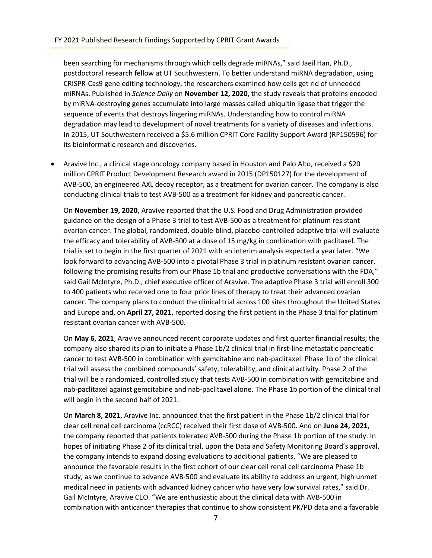been searching for mechanisms through which cells degrade miRNAs," said Jaeil Han, Ph.D., postdoctoral research fellow at UT Southwestern. To better understand miRNA degradation, using CRISPR-Cas9 gene editing technology, the researchers examined how cells get rid of unneeded miRNAs. Published in *Science Daily* on **November 12, 2020**, the study reveals that proteins encoded by miRNA-destroying genes accumulate into large masses called ubiquitin ligase that trigger the sequence of events that destroys lingering miRNAs. Understanding how to control miRNA degradation may lead to development of novel treatments for a variety of diseases and infections. In 2015, UT Southwestern received a \$5.6 million CPRIT Core Facility Support Award (RP150596) for its bioinformatic research and discoveries.

• Aravive Inc., a clinical stage oncology company based in Houston and Palo Alto, received a \$20 million CPRIT Product Development Research award in 2015 (DP150127) for the development of AVB-500, an engineered AXL decoy receptor, as a treatment for ovarian cancer. The company is also conducting clinical trials to test AVB-500 as a treatment for kidney and pancreatic cancer.

On **November 19, 2020**, Aravive reported that the U.S. Food and Drug Administration provided guidance on the design of a Phase 3 trial to test AVB-500 as a treatment for platinum resistant ovarian cancer. The global, randomized, double-blind, placebo-controlled adaptive trial will evaluate the efficacy and tolerability of AVB-500 at a dose of 15 mg/kg in combination with paclitaxel. The trial is set to begin in the first quarter of 2021 with an interim analysis expected a year later. "We look forward to advancing AVB-500 into a pivotal Phase 3 trial in platinum resistant ovarian cancer, following the promising results from our Phase 1b trial and productive conversations with the FDA," said Gail McIntyre, Ph.D., chief executive officer of Aravive. The adaptive Phase 3 trial will enroll 300 to 400 patients who received one to four prior lines of therapy to treat their advanced ovarian cancer. The company plans to conduct the clinical trial across 100 sites throughout the United States and Europe and, on **April 27, 2021**, reported dosing the first patient in the Phase 3 trial for platinum resistant ovarian cancer with AVB-500.

On **May 6, 2021**, Aravive announced recent corporate updates and first quarter financial results; the company also shared its plan to initiate a Phase 1b/2 clinical trial in first-line metastatic pancreatic cancer to test AVB-500 in combination with gemcitabine and nab-paclitaxel. Phase 1b of the clinical trial will assess the combined compounds' safety, tolerability, and clinical activity. Phase 2 of the trial will be a randomized, controlled study that tests AVB-500 in combination with gemcitabine and nab-paclitaxel against gemcitabine and nab-paclitaxel alone. The Phase 1b portion of the clinical trial will begin in the second half of 2021.

On **March 8, 2021**, Aravive Inc. announced that the first patient in the Phase 1b/2 clinical trial for clear cell renal cell carcinoma (ccRCC) received their first dose of AVB-500. And on **June 24, 2021**, the company reported that patients tolerated AVB-500 during the Phase 1b portion of the study. In hopes of initiating Phase 2 of its clinical trial, upon the Data and Safety Monitoring Board's approval, the company intends to expand dosing evaluations to additional patients. "We are pleased to announce the favorable results in the first cohort of our clear cell renal cell carcinoma Phase 1b study, as we continue to advance AVB-500 and evaluate its ability to address an urgent, high unmet medical need in patients with advanced kidney cancer who have very low survival rates," said Dr. Gail McIntyre, Aravive CEO. "We are enthusiastic about the clinical data with AVB-500 in combination with anticancer therapies that continue to show consistent PK/PD data and a favorable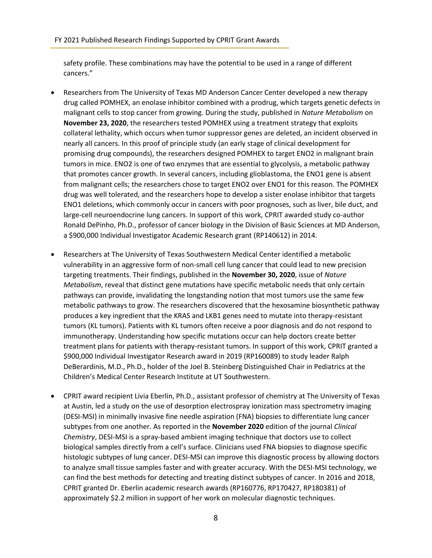safety profile. These combinations may have the potential to be used in a range of different cancers."

- Researchers from The University of Texas MD Anderson Cancer Center developed a new therapy drug called POMHEX, an enolase inhibitor combined with a prodrug, which targets genetic defects in malignant cells to stop cancer from growing. During the study, published in *Nature Metabolism* on **November 23, 2020**, the researchers tested POMHEX using a treatment strategy that exploits collateral lethality, which occurs when tumor suppressor genes are deleted, an incident observed in nearly all cancers. In this proof of principle study (an early stage of clinical development for promising drug compounds), the researchers designed POMHEX to target ENO2 in malignant brain tumors in mice. ENO2 is one of two enzymes that are essential to glycolysis, a metabolic pathway that promotes cancer growth. In several cancers, including glioblastoma, the ENO1 gene is absent from malignant cells; the researchers chose to target ENO2 over ENO1 for this reason. The POMHEX drug was well tolerated, and the researchers hope to develop a sister enolase inhibitor that targets ENO1 deletions, which commonly occur in cancers with poor prognoses, such as liver, bile duct, and large-cell neuroendocrine lung cancers. In support of this work, CPRIT awarded study co-author Ronald DePinho, Ph.D., professor of cancer biology in the Division of Basic Sciences at MD Anderson, a \$900,000 Individual Investigator Academic Research grant (RP140612) in 2014.
- Researchers at The University of Texas Southwestern Medical Center identified a metabolic vulnerability in an aggressive form of non-small cell lung cancer that could lead to new precision targeting treatments. Their findings, published in the **November 30, 2020**, issue of *Nature Metabolism*, reveal that distinct gene mutations have specific metabolic needs that only certain pathways can provide, invalidating the longstanding notion that most tumors use the same few metabolic pathways to grow. The researchers discovered that the hexosamine biosynthetic pathway produces a key ingredient that the KRAS and LKB1 genes need to mutate into therapy-resistant tumors (KL tumors). Patients with KL tumors often receive a poor diagnosis and do not respond to immunotherapy. Understanding how specific mutations occur can help doctors create better treatment plans for patients with therapy-resistant tumors. In support of this work, CPRIT granted a \$900,000 Individual Investigator Research award in 2019 (RP160089) to study leader Ralph DeBerardinis, M.D., Ph.D., holder of the Joel B. Steinberg Distinguished Chair in Pediatrics at the Children's Medical Center Research Institute at UT Southwestern.
- CPRIT award recipient Livia Eberlin, Ph.D., assistant professor of chemistry at The University of Texas at Austin, led a study on the use of desorption electrospray ionization mass spectrometry imaging (DESI-MSI) in minimally invasive fine needle aspiration (FNA) biopsies to differentiate lung cancer subtypes from one another. As reported in the **November 2020** edition of the journal *Clinical Chemistry*, DESI-MSI is a spray-based ambient imaging technique that doctors use to collect biological samples directly from a cell's surface. Clinicians used FNA biopsies to diagnose specific histologic subtypes of lung cancer. DESI-MSI can improve this diagnostic process by allowing doctors to analyze small tissue samples faster and with greater accuracy. With the DESI-MSI technology, we can find the best methods for detecting and treating distinct subtypes of cancer. In 2016 and 2018, CPRIT granted Dr. Eberlin academic research awards (RP160776, RP170427, RP180381) of approximately \$2.2 million in support of her work on molecular diagnostic techniques.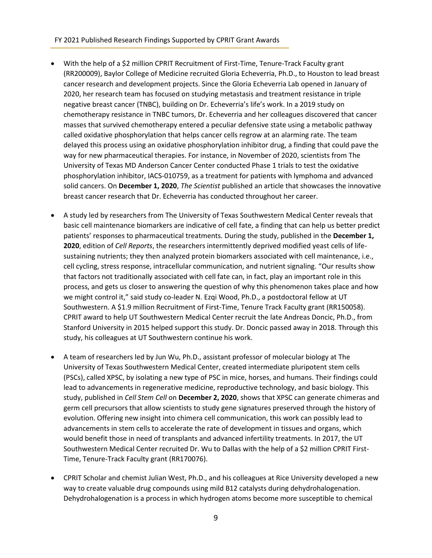#### FY 2021 Published Research Findings Supported by CPRIT Grant Awards

- With the help of a \$2 million CPRIT Recruitment of First-Time, Tenure-Track Faculty grant (RR200009), Baylor College of Medicine recruited Gloria Echeverria, Ph.D., to Houston to lead breast cancer research and development projects. Since the Gloria Echeverria Lab opened in January of 2020, her research team has focused on studying metastasis and treatment resistance in triple negative breast cancer (TNBC), building on Dr. Echeverria's life's work. In a 2019 study on chemotherapy resistance in TNBC tumors, Dr. Echeverria and her colleagues discovered that cancer masses that survived chemotherapy entered a peculiar defensive state using a metabolic pathway called oxidative phosphorylation that helps cancer cells regrow at an alarming rate. The team delayed this process using an oxidative phosphorylation inhibitor drug, a finding that could pave the way for new pharmaceutical therapies. For instance, in November of 2020, scientists from The University of Texas MD Anderson Cancer Center conducted Phase 1 trials to test the oxidative phosphorylation inhibitor, IACS-010759, as a treatment for patients with lymphoma and advanced solid cancers. On **December 1, 2020**, *The Scientist* published an article that showcases the innovative breast cancer research that Dr. Echeverria has conducted throughout her career.
- A study led by researchers from The University of Texas Southwestern Medical Center reveals that basic cell maintenance biomarkers are indicative of cell fate, a finding that can help us better predict patients' responses to pharmaceutical treatments. During the study, published in the **December 1, 2020**, edition of *Cell Reports*, the researchers intermittently deprived modified yeast cells of lifesustaining nutrients; they then analyzed protein biomarkers associated with cell maintenance, i.e., cell cycling, stress response, intracellular communication, and nutrient signaling. "Our results show that factors not traditionally associated with cell fate can, in fact, play an important role in this process, and gets us closer to answering the question of why this phenomenon takes place and how we might control it," said study co-leader N. Ezqi Wood, Ph.D., a postdoctoral fellow at UT Southwestern. A \$1.9 million Recruitment of First-Time, Tenure Track Faculty grant (RR150058). CPRIT award to help UT Southwestern Medical Center recruit the late Andreas Doncic, Ph.D., from Stanford University in 2015 helped support this study. Dr. Doncic passed away in 2018. Through this study, his colleagues at UT Southwestern continue his work.
- A team of researchers led by Jun Wu, Ph.D., assistant professor of molecular biology at The University of Texas Southwestern Medical Center, created intermediate pluripotent stem cells (PSCs), called XPSC, by isolating a new type of PSC in mice, horses, and humans. Their findings could lead to advancements in regenerative medicine, reproductive technology, and basic biology. This study, published in *Cell Stem Cell* on **December 2, 2020**, shows that XPSC can generate chimeras and germ cell precursors that allow scientists to study gene signatures preserved through the history of evolution. Offering new insight into chimera cell communication, this work can possibly lead to advancements in stem cells to accelerate the rate of development in tissues and organs, which would benefit those in need of transplants and advanced infertility treatments. In 2017, the UT Southwestern Medical Center recruited Dr. Wu to Dallas with the help of a \$2 million CPRIT First-Time, Tenure-Track Faculty grant (RR170076).
- CPRIT Scholar and chemist Julian West, Ph.D., and his colleagues at Rice University developed a new way to create valuable drug compounds using mild B12 catalysts during dehydrohalogenation. Dehydrohalogenation is a process in which hydrogen atoms become more susceptible to chemical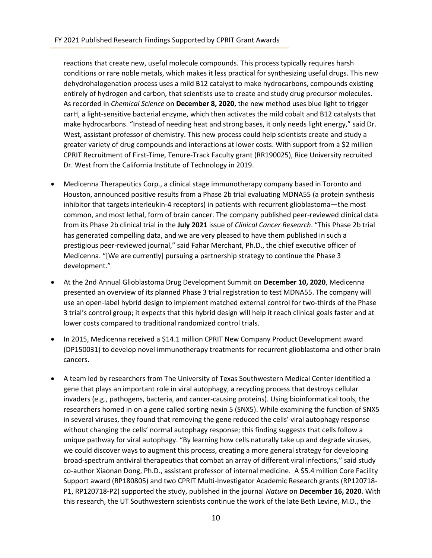reactions that create new, useful molecule compounds. This process typically requires harsh conditions or rare noble metals, which makes it less practical for synthesizing useful drugs. This new dehydrohalogenation process uses a mild B12 catalyst to make hydrocarbons, compounds existing entirely of hydrogen and carbon, that scientists use to create and study drug precursor molecules. As recorded in *Chemical Science* on **December 8, 2020**, the new method uses blue light to trigger carH, a light-sensitive bacterial enzyme, which then activates the mild cobalt and B12 catalysts that make hydrocarbons. "Instead of needing heat and strong bases, it only needs light energy," said Dr. West, assistant professor of chemistry. This new process could help scientists create and study a greater variety of drug compounds and interactions at lower costs. With support from a \$2 million CPRIT Recruitment of First-Time, Tenure-Track Faculty grant (RR190025), Rice University recruited Dr. West from the California Institute of Technology in 2019.

- Medicenna Therapeutics Corp., a clinical stage immunotherapy company based in Toronto and Houston, announced positive results from a Phase 2b trial evaluating MDNA55 (a protein synthesis inhibitor that targets interleukin-4 receptors) in patients with recurrent glioblastoma—the most common, and most lethal, form of brain cancer. The company published peer-reviewed clinical data from its Phase 2b clinical trial in the **July 2021** issue of *Clinical Cancer Research*. "This Phase 2b trial has generated compelling data, and we are very pleased to have them published in such a prestigious peer-reviewed journal," said Fahar Merchant, Ph.D., the chief executive officer of Medicenna. "[We are currently] pursuing a partnership strategy to continue the Phase 3 development."
- At the 2nd Annual Glioblastoma Drug Development Summit on **December 10, 2020**, Medicenna presented an overview of its planned Phase 3 trial registration to test MDNA55. The company will use an open-label hybrid design to implement matched external control for two-thirds of the Phase 3 trial's control group; it expects that this hybrid design will help it reach clinical goals faster and at lower costs compared to traditional randomized control trials.
- In 2015, Medicenna received a \$14.1 million CPRIT New Company Product Development award (DP150031) to develop novel immunotherapy treatments for recurrent glioblastoma and other brain cancers.
- A team led by researchers from The University of Texas Southwestern Medical Center identified a gene that plays an important role in viral autophagy, a recycling process that destroys cellular invaders (e.g., pathogens, bacteria, and cancer-causing proteins). Using bioinformatical tools, the researchers homed in on a gene called sorting nexin 5 (SNX5). While examining the function of SNX5 in several viruses, they found that removing the gene reduced the cells' viral autophagy response without changing the cells' normal autophagy response; this finding suggests that cells follow a unique pathway for viral autophagy. "By learning how cells naturally take up and degrade viruses, we could discover ways to augment this process, creating a more general strategy for developing broad-spectrum antiviral therapeutics that combat an array of different viral infections," said study co-author Xiaonan Dong, Ph.D., assistant professor of internal medicine. A \$5.4 million Core Facility Support award (RP180805) and two CPRIT Multi-Investigator Academic Research grants (RP120718- P1, RP120718-P2) supported the study, published in the journal *Nature* on **December 16, 2020**. With this research, the UT Southwestern scientists continue the work of the late Beth Levine, M.D., the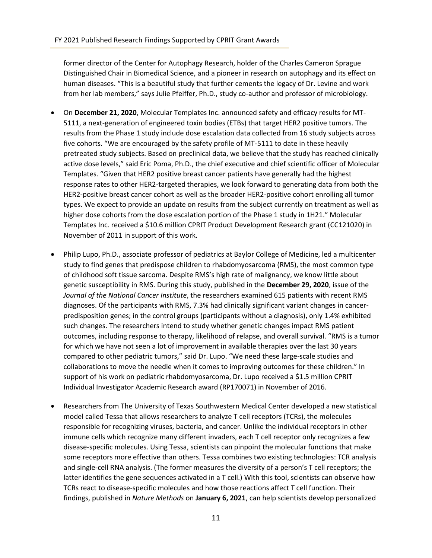former director of the Center for Autophagy Research, holder of the Charles Cameron Sprague Distinguished Chair in Biomedical Science, and a pioneer in research on autophagy and its effect on human diseases. "This is a beautiful study that further cements the legacy of Dr. Levine and work from her lab members," says Julie Pfeiffer, Ph.D., study co-author and professor of microbiology.

- On **December 21, 2020**, Molecular Templates Inc. announced safety and efficacy results for MT-5111, a next-generation of engineered toxin bodies (ETBs) that target HER2 positive tumors. The results from the Phase 1 study include dose escalation data collected from 16 study subjects across five cohorts. "We are encouraged by the safety profile of MT-5111 to date in these heavily pretreated study subjects. Based on preclinical data, we believe that the study has reached clinically active dose levels," said Eric Poma, Ph.D., the chief executive and chief scientific officer of Molecular Templates. "Given that HER2 positive breast cancer patients have generally had the highest response rates to other HER2-targeted therapies, we look forward to generating data from both the HER2-positive breast cancer cohort as well as the broader HER2-positive cohort enrolling all tumor types. We expect to provide an update on results from the subject currently on treatment as well as higher dose cohorts from the dose escalation portion of the Phase 1 study in 1H21." Molecular Templates Inc. received a \$10.6 million CPRIT Product Development Research grant (CC121020) in November of 2011 in support of this work.
- Philip Lupo, Ph.D., associate professor of pediatrics at Baylor College of Medicine, led a multicenter study to find genes that predispose children to rhabdomyosarcoma (RMS), the most common type of childhood soft tissue sarcoma. Despite RMS's high rate of malignancy, we know little about genetic susceptibility in RMS. During this study, published in the **December 29, 2020**, issue of the *Journal of the National Cancer Institute*, the researchers examined 615 patients with recent RMS diagnoses. Of the participants with RMS, 7.3% had clinically significant variant changes in cancerpredisposition genes; in the control groups (participants without a diagnosis), only 1.4% exhibited such changes. The researchers intend to study whether genetic changes impact RMS patient outcomes, including response to therapy, likelihood of relapse, and overall survival. "RMS is a tumor for which we have not seen a lot of improvement in available therapies over the last 30 years compared to other pediatric tumors," said Dr. Lupo. "We need these large-scale studies and collaborations to move the needle when it comes to improving outcomes for these children." In support of his work on pediatric rhabdomyosarcoma, Dr. Lupo received a \$1.5 million CPRIT Individual Investigator Academic Research award (RP170071) in November of 2016.
- Researchers from The University of Texas Southwestern Medical Center developed a new statistical model called Tessa that allows researchers to analyze T cell receptors (TCRs), the molecules responsible for recognizing viruses, bacteria, and cancer. Unlike the individual receptors in other immune cells which recognize many different invaders, each T cell receptor only recognizes a few disease-specific molecules. Using Tessa, scientists can pinpoint the molecular functions that make some receptors more effective than others. Tessa combines two existing technologies: TCR analysis and single-cell RNA analysis. (The former measures the diversity of a person's T cell receptors; the latter identifies the gene sequences activated in a T cell.) With this tool, scientists can observe how TCRs react to disease-specific molecules and how those reactions affect T cell function. Their findings, published in *Nature Methods* on **January 6, 2021**, can help scientists develop personalized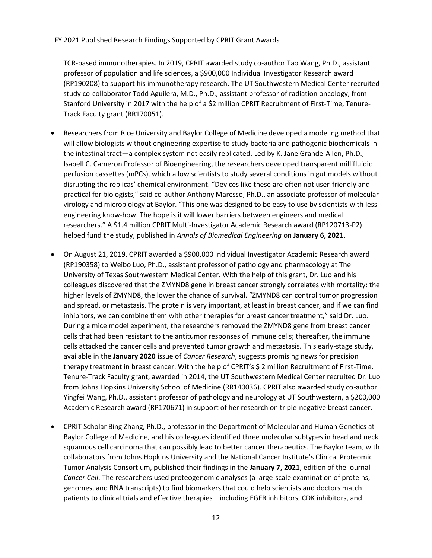TCR-based immunotherapies. In 2019, CPRIT awarded study co-author Tao Wang, Ph.D., assistant professor of population and life sciences, a \$900,000 Individual Investigator Research award (RP190208) to support his immunotherapy research. The UT Southwestern Medical Center recruited study co-collaborator Todd Aguilera, M.D., Ph.D., assistant professor of radiation oncology, from Stanford University in 2017 with the help of a \$2 million CPRIT Recruitment of First-Time, Tenure-Track Faculty grant (RR170051).

- Researchers from Rice University and Baylor College of Medicine developed a modeling method that will allow biologists without engineering expertise to study bacteria and pathogenic biochemicals in the intestinal tract—a complex system not easily replicated. Led by K. Jane Grande-Allen, Ph.D., Isabell C. Cameron Professor of Bioengineering, the researchers developed transparent millifluidic perfusion cassettes (mPCs), which allow scientists to study several conditions in gut models without disrupting the replicas' chemical environment. "Devices like these are often not user-friendly and practical for biologists," said co-author Anthony Maresso, Ph.D., an associate professor of molecular virology and microbiology at Baylor. "This one was designed to be easy to use by scientists with less engineering know-how. The hope is it will lower barriers between engineers and medical researchers." A \$1.4 million CPRIT Multi-Investigator Academic Research award (RP120713-P2) helped fund the study, published in *Annals of Biomedical Engineering* on **January 6, 2021**.
- On August 21, 2019, CPRIT awarded a \$900,000 Individual Investigator Academic Research award (RP190358) to Weibo Luo, Ph.D., assistant professor of pathology and pharmacology at The University of Texas Southwestern Medical Center. With the help of this grant, Dr. Luo and his colleagues discovered that the ZMYND8 gene in breast cancer strongly correlates with mortality: the higher levels of ZMYND8, the lower the chance of survival. "ZMYND8 can control tumor progression and spread, or metastasis. The protein is very important, at least in breast cancer, and if we can find inhibitors, we can combine them with other therapies for breast cancer treatment," said Dr. Luo. During a mice model experiment, the researchers removed the ZMYND8 gene from breast cancer cells that had been resistant to the antitumor responses of immune cells; thereafter, the immune cells attacked the cancer cells and prevented tumor growth and metastasis. This early-stage study, available in the **January 2020** issue of *Cancer Research*, suggests promising news for precision therapy treatment in breast cancer. With the help of CPRIT's \$ 2 million Recruitment of First-Time, Tenure-Track Faculty grant, awarded in 2014, the UT Southwestern Medical Center recruited Dr. Luo from Johns Hopkins University School of Medicine (RR140036). CPRIT also awarded study co-author Yingfei Wang, Ph.D., assistant professor of pathology and neurology at UT Southwestern, a \$200,000 Academic Research award (RP170671) in support of her research on triple-negative breast cancer.
- CPRIT Scholar Bing Zhang, Ph.D., professor in the Department of Molecular and Human Genetics at Baylor College of Medicine, and his colleagues identified three molecular subtypes in head and neck squamous cell carcinoma that can possibly lead to better cancer therapeutics. The Baylor team, with collaborators from Johns Hopkins University and the National Cancer Institute's Clinical Proteomic Tumor Analysis Consortium, published their findings in the **January 7, 2021**, edition of the journal *Cancer Cell*. The researchers used proteogenomic analyses (a large-scale examination of proteins, genomes, and RNA transcripts) to find biomarkers that could help scientists and doctors match patients to clinical trials and effective therapies—including EGFR inhibitors, CDK inhibitors, and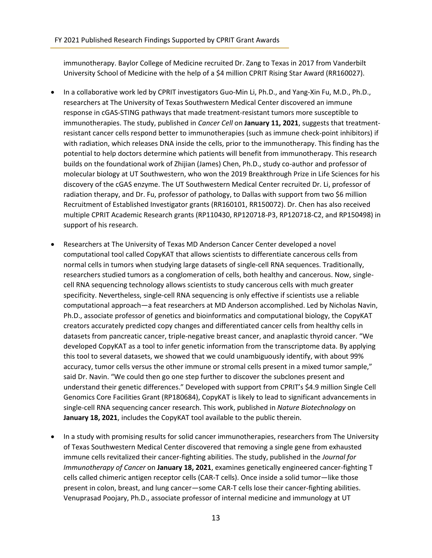immunotherapy. Baylor College of Medicine recruited Dr. Zang to Texas in 2017 from Vanderbilt University School of Medicine with the help of a \$4 million CPRIT Rising Star Award (RR160027).

- In a collaborative work led by CPRIT investigators Guo-Min Li, Ph.D., and Yang-Xin Fu, M.D., Ph.D., researchers at The University of Texas Southwestern Medical Center discovered an immune response in cGAS-STING pathways that made treatment-resistant tumors more susceptible to immunotherapies. The study, published in *Cancer Cell* on **January 11, 2021**, suggests that treatmentresistant cancer cells respond better to immunotherapies (such as immune check-point inhibitors) if with radiation, which releases DNA inside the cells, prior to the immunotherapy. This finding has the potential to help doctors determine which patients will benefit from immunotherapy. This research builds on the foundational work of Zhijian (James) Chen, Ph.D., study co-author and professor of molecular biology at UT Southwestern, who won the 2019 Breakthrough Prize in Life Sciences for his discovery of the cGAS enzyme. The UT Southwestern Medical Center recruited Dr. Li, professor of radiation therapy, and Dr. Fu, professor of pathology, to Dallas with support from two \$6 million Recruitment of Established Investigator grants (RR160101, RR150072). Dr. Chen has also received multiple CPRIT Academic Research grants (RP110430, RP120718-P3, RP120718-C2, and RP150498) in support of his research.
- Researchers at The University of Texas MD Anderson Cancer Center developed a novel computational tool called CopyKAT that allows scientists to differentiate cancerous cells from normal cells in tumors when studying large datasets of single-cell RNA sequences. Traditionally, researchers studied tumors as a conglomeration of cells, both healthy and cancerous. Now, singlecell RNA sequencing technology allows scientists to study cancerous cells with much greater specificity. Nevertheless, single-cell RNA sequencing is only effective if scientists use a reliable computational approach—a feat researchers at MD Anderson accomplished. Led by Nicholas Navin, Ph.D., associate professor of genetics and bioinformatics and computational biology, the CopyKAT creators accurately predicted copy changes and differentiated cancer cells from healthy cells in datasets from pancreatic cancer, triple-negative breast cancer, and anaplastic thyroid cancer. "We developed CopyKAT as a tool to infer genetic information from the transcriptome data. By applying this tool to several datasets, we showed that we could unambiguously identify, with about 99% accuracy, tumor cells versus the other immune or stromal cells present in a mixed tumor sample," said Dr. Navin. "We could then go one step further to discover the subclones present and understand their genetic differences." Developed with support from CPRIT's \$4.9 million Single Cell Genomics Core Facilities Grant (RP180684), CopyKAT is likely to lead to significant advancements in single-cell RNA sequencing cancer research. This work, published in *Nature Biotechnology* on **January 18, 2021**, includes the CopyKAT tool available to the public therein.
- In a study with promising results for solid cancer immunotherapies, researchers from The University of Texas Southwestern Medical Center discovered that removing a single gene from exhausted immune cells revitalized their cancer-fighting abilities. The study, published in the *Journal for Immunotherapy of Cancer* on **January 18, 2021**, examines genetically engineered cancer-fighting T cells called chimeric antigen receptor cells (CAR-T cells). Once inside a solid tumor—like those present in colon, breast, and lung cancer—some CAR-T cells lose their cancer-fighting abilities. Venuprasad Poojary, Ph.D., associate professor of internal medicine and immunology at UT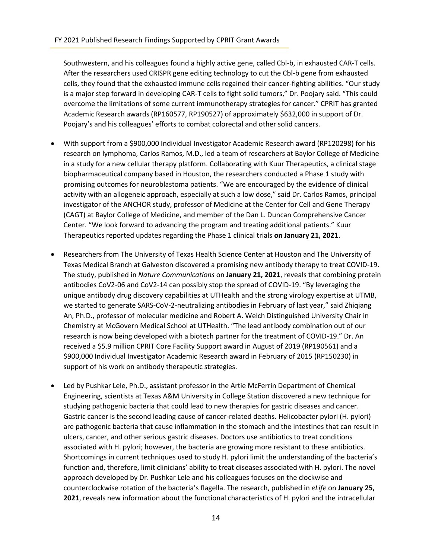Southwestern, and his colleagues found a highly active gene, called Cbl-b, in exhausted CAR-T cells. After the researchers used CRISPR gene editing technology to cut the Cbl-b gene from exhausted cells, they found that the exhausted immune cells regained their cancer-fighting abilities. "Our study is a major step forward in developing CAR-T cells to fight solid tumors," Dr. Poojary said. "This could overcome the limitations of some current immunotherapy strategies for cancer." CPRIT has granted Academic Research awards (RP160577, RP190527) of approximately \$632,000 in support of Dr. Poojary's and his colleagues' efforts to combat colorectal and other solid cancers.

- With support from a \$900,000 Individual Investigator Academic Research award (RP120298) for his research on lymphoma, Carlos Ramos, M.D., led a team of researchers at Baylor College of Medicine in a study for a new cellular therapy platform. Collaborating with Kuur Therapeutics, a clinical stage biopharmaceutical company based in Houston, the researchers conducted a Phase 1 study with promising outcomes for neuroblastoma patients. "We are encouraged by the evidence of clinical activity with an allogeneic approach, especially at such a low dose," said Dr. Carlos Ramos, principal investigator of the ANCHOR study, professor of Medicine at the Center for Cell and Gene Therapy (CAGT) at Baylor College of Medicine, and member of the Dan L. Duncan Comprehensive Cancer Center. "We look forward to advancing the program and treating additional patients." Kuur Therapeutics reported updates regarding the Phase 1 clinical trials **on January 21, 2021**.
- Researchers from The University of Texas Health Science Center at Houston and The University of Texas Medical Branch at Galveston discovered a promising new antibody therapy to treat COVID-19. The study, published in *Nature Communications* on **January 21, 2021**, reveals that combining protein antibodies CoV2-06 and CoV2-14 can possibly stop the spread of COVID-19. "By leveraging the unique antibody drug discovery capabilities at UTHealth and the strong virology expertise at UTMB, we started to generate SARS-CoV-2-neutralizing antibodies in February of last year," said Zhiqiang An, Ph.D., professor of molecular medicine and Robert A. Welch Distinguished University Chair in Chemistry at McGovern Medical School at UTHealth. "The lead antibody combination out of our research is now being developed with a biotech partner for the treatment of COVID-19." Dr. An received a \$5.9 million CPRIT Core Facility Support award in August of 2019 (RP190561) and a \$900,000 Individual Investigator Academic Research award in February of 2015 (RP150230) in support of his work on antibody therapeutic strategies.
- Led by Pushkar Lele, Ph.D., assistant professor in the Artie McFerrin Department of Chemical Engineering, scientists at Texas A&M University in College Station discovered a new technique for studying pathogenic bacteria that could lead to new therapies for gastric diseases and cancer. Gastric cancer is the second leading cause of cancer-related deaths. Helicobacter pylori (H. pylori) are pathogenic bacteria that cause inflammation in the stomach and the intestines that can result in ulcers, cancer, and other serious gastric diseases. Doctors use antibiotics to treat conditions associated with H. pylori; however, the bacteria are growing more resistant to these antibiotics. Shortcomings in current techniques used to study H. pylori limit the understanding of the bacteria's function and, therefore, limit clinicians' ability to treat diseases associated with H. pylori. The novel approach developed by Dr. Pushkar Lele and his colleagues focuses on the clockwise and counterclockwise rotation of the bacteria's flagella. The research, published in *eLife* on **January 25, 2021**, reveals new information about the functional characteristics of H. pylori and the intracellular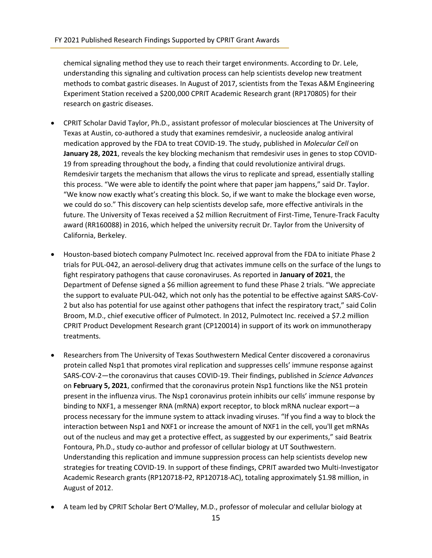chemical signaling method they use to reach their target environments. According to Dr. Lele, understanding this signaling and cultivation process can help scientists develop new treatment methods to combat gastric diseases. In August of 2017, scientists from the Texas A&M Engineering Experiment Station received a \$200,000 CPRIT Academic Research grant (RP170805) for their research on gastric diseases.

- CPRIT Scholar David Taylor, Ph.D., assistant professor of molecular biosciences at The University of Texas at Austin, co-authored a study that examines remdesivir, a nucleoside analog antiviral medication approved by the FDA to treat COVID-19. The study, published in *Molecular Cell* on **January 28, 2021**, reveals the key blocking mechanism that remdesivir uses in genes to stop COVID-19 from spreading throughout the body, a finding that could revolutionize antiviral drugs. Remdesivir targets the mechanism that allows the virus to replicate and spread, essentially stalling this process. "We were able to identify the point where that paper jam happens," said Dr. Taylor. "We know now exactly what's creating this block. So, if we want to make the blockage even worse, we could do so." This discovery can help scientists develop safe, more effective antivirals in the future. The University of Texas received a \$2 million Recruitment of First-Time, Tenure-Track Faculty award (RR160088) in 2016, which helped the university recruit Dr. Taylor from the University of California, Berkeley.
- Houston-based biotech company Pulmotect Inc. received approval from the FDA to initiate Phase 2 trials for PUL-042, an aerosol-delivery drug that activates immune cells on the surface of the lungs to fight respiratory pathogens that cause coronaviruses. As reported in **January of 2021**, the Department of Defense signed a \$6 million agreement to fund these Phase 2 trials. "We appreciate the support to evaluate PUL-042, which not only has the potential to be effective against SARS-CoV-2 but also has potential for use against other pathogens that infect the respiratory tract," said Colin Broom, M.D., chief executive officer of Pulmotect. In 2012, Pulmotect Inc. received a \$7.2 million CPRIT Product Development Research grant (CP120014) in support of its work on immunotherapy treatments.
- Researchers from The University of Texas Southwestern Medical Center discovered a coronavirus protein called Nsp1 that promotes viral replication and suppresses cells' immune response against SARS-COV-2—the coronavirus that causes COVID-19. Their findings, published in *Science Advances* on **February 5, 2021**, confirmed that the coronavirus protein Nsp1 functions like the NS1 protein present in the influenza virus. The Nsp1 coronavirus protein inhibits our cells' immune response by binding to NXF1, a messenger RNA (mRNA) export receptor, to block mRNA nuclear export—a process necessary for the immune system to attack invading viruses. "If you find a way to block the interaction between Nsp1 and NXF1 or increase the amount of NXF1 in the cell, you'll get mRNAs out of the nucleus and may get a protective effect, as suggested by our experiments," said Beatrix Fontoura, Ph.D., study co-author and professor of cellular biology at UT Southwestern. Understanding this replication and immune suppression process can help scientists develop new strategies for treating COVID-19. In support of these findings, CPRIT awarded two Multi-Investigator Academic Research grants (RP120718-P2, RP120718-AC), totaling approximately \$1.98 million, in August of 2012.
- A team led by CPRIT Scholar Bert O'Malley, M.D., professor of molecular and cellular biology at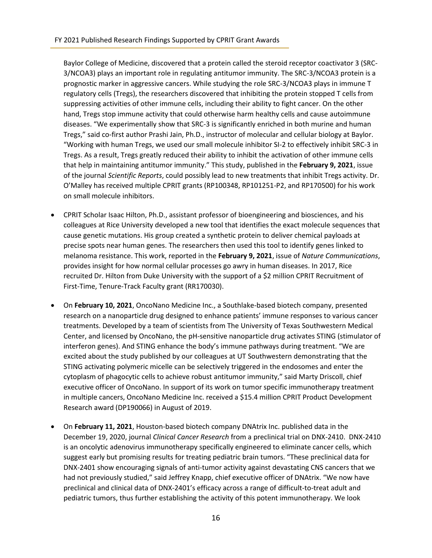Baylor College of Medicine, discovered that a protein called the steroid receptor coactivator 3 (SRC-3/NCOA3) plays an important role in regulating antitumor immunity. The SRC-3/NCOA3 protein is a prognostic marker in aggressive cancers. While studying the role SRC-3/NCOA3 plays in immune T regulatory cells (Tregs), the researchers discovered that inhibiting the protein stopped T cells from suppressing activities of other immune cells, including their ability to fight cancer. On the other hand, Tregs stop immune activity that could otherwise harm healthy cells and cause autoimmune diseases. "We experimentally show that SRC-3 is significantly enriched in both murine and human Tregs," said co-first author Prashi Jain, Ph.D., instructor of molecular and cellular biology at Baylor. "Working with human Tregs, we used our small molecule inhibitor SI-2 to effectively inhibit SRC-3 in Tregs. As a result, Tregs greatly reduced their ability to inhibit the activation of other immune cells that help in maintaining antitumor immunity." This study, published in the **February 9, 2021**, issue of the journal *Scientific Reports*, could possibly lead to new treatments that inhibit Tregs activity. Dr. O'Malley has received multiple CPRIT grants (RP100348, RP101251-P2, and RP170500) for his work on small molecule inhibitors.

- CPRIT Scholar Isaac Hilton, Ph.D., assistant professor of bioengineering and biosciences, and his colleagues at Rice University developed a new tool that identifies the exact molecule sequences that cause genetic mutations. His group created a synthetic protein to deliver chemical payloads at precise spots near human genes. The researchers then used this tool to identify genes linked to melanoma resistance. This work, reported in the **February 9, 2021**, issue of *Nature Communications*, provides insight for how normal cellular processes go awry in human diseases. In 2017, Rice recruited Dr. Hilton from Duke University with the support of a \$2 million CPRIT Recruitment of First-Time, Tenure-Track Faculty grant (RR170030).
- On **February 10, 2021**, OncoNano Medicine Inc., a Southlake-based biotech company, presented research on a nanoparticle drug designed to enhance patients' immune responses to various cancer treatments. Developed by a team of scientists from The University of Texas Southwestern Medical Center, and licensed by OncoNano, the pH-sensitive nanoparticle drug activates STING (stimulator of interferon genes). And STING enhance the body's immune pathways during treatment. "We are excited about the study published by our colleagues at UT Southwestern demonstrating that the STING activating polymeric micelle can be selectively triggered in the endosomes and enter the cytoplasm of phagocytic cells to achieve robust antitumor immunity," said Marty Driscoll, chief executive officer of OncoNano. In support of its work on tumor specific immunotherapy treatment in multiple cancers, OncoNano Medicine Inc. received a \$15.4 million CPRIT Product Development Research award (DP190066) in August of 2019.
- On **February 11, 2021**, Houston-based biotech company DNAtrix Inc. published data in the December 19, 2020, journal *Clinical Cancer Research* from a preclinical trial on DNX-2410. DNX-2410 is an oncolytic adenovirus immunotherapy specifically engineered to eliminate cancer cells, which suggest early but promising results for treating pediatric brain tumors. "These preclinical data for DNX-2401 show encouraging signals of anti-tumor activity against devastating CNS cancers that we had not previously studied," said Jeffrey Knapp, chief executive officer of DNAtrix. "We now have preclinical and clinical data of DNX-2401's efficacy across a range of difficult-to-treat adult and pediatric tumors, thus further establishing the activity of this potent immunotherapy. We look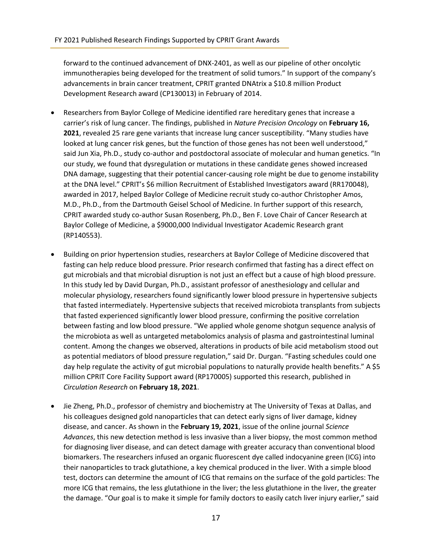forward to the continued advancement of DNX-2401, as well as our pipeline of other oncolytic immunotherapies being developed for the treatment of solid tumors." In support of the company's advancements in brain cancer treatment, CPRIT granted DNAtrix a \$10.8 million Product Development Research award (CP130013) in February of 2014.

- Researchers from Baylor College of Medicine identified rare hereditary genes that increase a carrier's risk of lung cancer. The findings, published in *Nature Precision Oncology* on **February 16, 2021**, revealed 25 rare gene variants that increase lung cancer susceptibility. "Many studies have looked at lung cancer risk genes, but the function of those genes has not been well understood," said Jun Xia, Ph.D., study co-author and postdoctoral associate of molecular and human genetics. "In our study, we found that dysregulation or mutations in these candidate genes showed increased DNA damage, suggesting that their potential cancer-causing role might be due to genome instability at the DNA level." CPRIT's \$6 million Recruitment of Established Investigators award (RR170048), awarded in 2017, helped Baylor College of Medicine recruit study co-author Christopher Amos, M.D., Ph.D., from the Dartmouth Geisel School of Medicine. In further support of this research, CPRIT awarded study co-author Susan Rosenberg, Ph.D., Ben F. Love Chair of Cancer Research at Baylor College of Medicine, a \$9000,000 Individual Investigator Academic Research grant (RP140553).
- Building on prior hypertension studies, researchers at Baylor College of Medicine discovered that fasting can help reduce blood pressure. Prior research confirmed that fasting has a direct effect on gut microbials and that microbial disruption is not just an effect but a cause of high blood pressure. In this study led by David Durgan, Ph.D., assistant professor of anesthesiology and cellular and molecular physiology, researchers found significantly lower blood pressure in hypertensive subjects that fasted intermediately. Hypertensive subjects that received microbiota transplants from subjects that fasted experienced significantly lower blood pressure, confirming the positive correlation between fasting and low blood pressure. "We applied whole genome shotgun sequence analysis of the microbiota as well as untargeted metabolomics analysis of plasma and gastrointestinal luminal content. Among the changes we observed, alterations in products of bile acid metabolism stood out as potential mediators of blood pressure regulation," said Dr. Durgan. "Fasting schedules could one day help regulate the activity of gut microbial populations to naturally provide health benefits." A \$5 million CPRIT Core Facility Support award (RP170005) supported this research, published in *Circulation Research* on **February 18, 2021**.
- Jie Zheng, Ph.D., professor of chemistry and biochemistry at The University of Texas at Dallas, and his colleagues designed gold nanoparticles that can detect early signs of liver damage, kidney disease, and cancer. As shown in the **February 19, 2021**, issue of the online journal *Science Advances*, this new detection method is less invasive than a liver biopsy, the most common method for diagnosing liver disease, and can detect damage with greater accuracy than conventional blood biomarkers. The researchers infused an organic fluorescent dye called indocyanine green (ICG) into their nanoparticles to track glutathione, a key chemical produced in the liver. With a simple blood test, doctors can determine the amount of ICG that remains on the surface of the gold particles: The more ICG that remains, the less glutathione in the liver; the less glutathione in the liver, the greater the damage. "Our goal is to make it simple for family doctors to easily catch liver injury earlier," said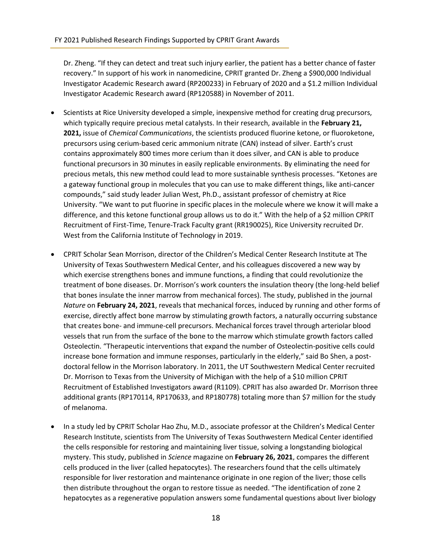Dr. Zheng. "If they can detect and treat such injury earlier, the patient has a better chance of faster recovery." In support of his work in nanomedicine, CPRIT granted Dr. Zheng a \$900,000 Individual Investigator Academic Research award (RP200233) in February of 2020 and a \$1.2 million Individual Investigator Academic Research award (RP120588) in November of 2011.

- Scientists at Rice University developed a simple, inexpensive method for creating drug precursors, which typically require precious metal catalysts. In their research, available in the **February 21, 2021,** issue of *Chemical Communications*, the scientists produced fluorine ketone, or fluoroketone, precursors using cerium-based ceric ammonium nitrate (CAN) instead of silver. Earth's crust contains approximately 800 times more cerium than it does silver, and CAN is able to produce functional precursors in 30 minutes in easily replicable environments. By eliminating the need for precious metals, this new method could lead to more sustainable synthesis processes. "Ketones are a gateway functional group in molecules that you can use to make different things, like anti-cancer compounds," said study leader Julian West, Ph.D., assistant professor of chemistry at Rice University. "We want to put fluorine in specific places in the molecule where we know it will make a difference, and this ketone functional group allows us to do it." With the help of a \$2 million CPRIT Recruitment of First-Time, Tenure-Track Faculty grant (RR190025), Rice University recruited Dr. West from the California Institute of Technology in 2019.
- CPRIT Scholar Sean Morrison, director of the Children's Medical Center Research Institute at The University of Texas Southwestern Medical Center, and his colleagues discovered a new way by which exercise strengthens bones and immune functions, a finding that could revolutionize the treatment of bone diseases. Dr. Morrison's work counters the insulation theory (the long-held belief that bones insulate the inner marrow from mechanical forces). The study, published in the journal *Nature* on **February 24, 2021**, reveals that mechanical forces, induced by running and other forms of exercise, directly affect bone marrow by stimulating growth factors, a naturally occurring substance that creates bone- and immune-cell precursors. Mechanical forces travel through arteriolar blood vessels that run from the surface of the bone to the marrow which stimulate growth factors called Osteolectin. "Therapeutic interventions that expand the number of Osteolectin-positive cells could increase bone formation and immune responses, particularly in the elderly," said Bo Shen, a postdoctoral fellow in the Morrison laboratory. In 2011, the UT Southwestern Medical Center recruited Dr. Morrison to Texas from the University of Michigan with the help of a \$10 million CPRIT Recruitment of Established Investigators award (R1109). CPRIT has also awarded Dr. Morrison three additional grants (RP170114, RP170633, and RP180778) totaling more than \$7 million for the study of melanoma.
- In a study led by CPRIT Scholar Hao Zhu, M.D., associate professor at the Children's Medical Center Research Institute, scientists from The University of Texas Southwestern Medical Center identified the cells responsible for restoring and maintaining liver tissue, solving a longstanding biological mystery. This study, published in *Science* magazine on **February 26, 2021**, compares the different cells produced in the liver (called hepatocytes). The researchers found that the cells ultimately responsible for liver restoration and maintenance originate in one region of the liver; those cells then distribute throughout the organ to restore tissue as needed. "The identification of zone 2 hepatocytes as a regenerative population answers some fundamental questions about liver biology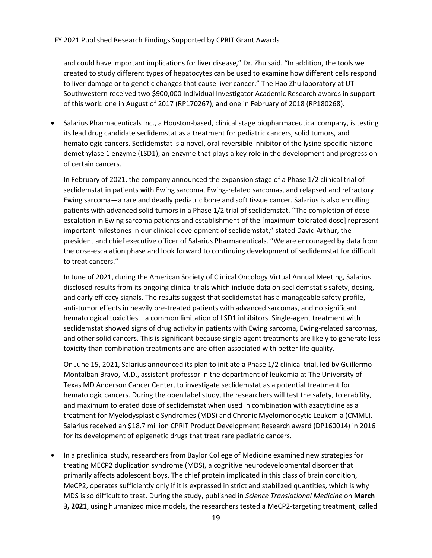and could have important implications for liver disease," Dr. Zhu said. "In addition, the tools we created to study different types of hepatocytes can be used to examine how different cells respond to liver damage or to genetic changes that cause liver cancer." The Hao Zhu laboratory at UT Southwestern received two \$900,000 Individual Investigator Academic Research awards in support of this work: one in August of 2017 (RP170267), and one in February of 2018 (RP180268).

• Salarius Pharmaceuticals Inc., a Houston-based, clinical stage biopharmaceutical company, is testing its lead drug candidate seclidemstat as a treatment for pediatric cancers, solid tumors, and hematologic cancers. Seclidemstat is a novel, oral reversible inhibitor of the lysine-specific histone demethylase 1 enzyme (LSD1), an enzyme that plays a key role in the development and progression of certain cancers.

In February of 2021, the company announced the expansion stage of a Phase 1/2 clinical trial of seclidemstat in patients with Ewing sarcoma, Ewing-related sarcomas, and relapsed and refractory Ewing sarcoma—a rare and deadly pediatric bone and soft tissue cancer. Salarius is also enrolling patients with advanced solid tumors in a Phase 1/2 trial of seclidemstat. "The completion of dose escalation in Ewing sarcoma patients and establishment of the [maximum tolerated dose] represent important milestones in our clinical development of seclidemstat," stated David Arthur, the president and chief executive officer of Salarius Pharmaceuticals. "We are encouraged by data from the dose-escalation phase and look forward to continuing development of seclidemstat for difficult to treat cancers."

In June of 2021, during the American Society of Clinical Oncology Virtual Annual Meeting, Salarius disclosed results from its ongoing clinical trials which include data on seclidemstat's safety, dosing, and early efficacy signals. The results suggest that seclidemstat has a manageable safety profile, anti-tumor effects in heavily pre-treated patients with advanced sarcomas, and no significant hematological toxicities—a common limitation of LSD1 inhibitors. Single-agent treatment with seclidemstat showed signs of drug activity in patients with Ewing sarcoma, Ewing-related sarcomas, and other solid cancers. This is significant because single-agent treatments are likely to generate less toxicity than combination treatments and are often associated with better life quality.

On June 15, 2021, Salarius announced its plan to initiate a Phase 1/2 clinical trial, led by Guillermo Montalban Bravo, M.D., assistant professor in the department of leukemia at The University of Texas MD Anderson Cancer Center, to investigate seclidemstat as a potential treatment for hematologic cancers. During the open label study, the researchers will test the safety, tolerability, and maximum tolerated dose of seclidemstat when used in combination with azacytidine as a treatment for Myelodysplastic Syndromes (MDS) and Chronic Myelomonocytic Leukemia (CMML). Salarius received an \$18.7 million CPRIT Product Development Research award (DP160014) in 2016 for its development of epigenetic drugs that treat rare pediatric cancers.

• In a preclinical study, researchers from Baylor College of Medicine examined new strategies for treating MECP2 duplication syndrome (MDS), a cognitive neurodevelopmental disorder that primarily affects adolescent boys. The chief protein implicated in this class of brain condition, MeCP2, operates sufficiently only if it is expressed in strict and stabilized quantities, which is why MDS is so difficult to treat. During the study, published in *Science Translational Medicine* on **March 3, 2021**, using humanized mice models, the researchers tested a MeCP2-targeting treatment, called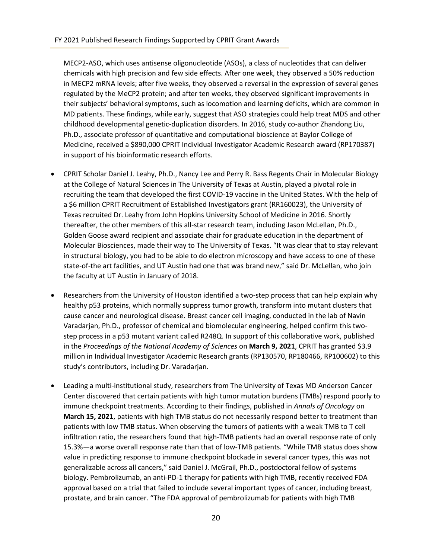MECP2-ASO, which uses antisense oligonucleotide (ASOs), a class of nucleotides that can deliver chemicals with high precision and few side effects. After one week, they observed a 50% reduction in MECP2 mRNA levels; after five weeks, they observed a reversal in the expression of several genes regulated by the MeCP2 protein; and after ten weeks, they observed significant improvements in their subjects' behavioral symptoms, such as locomotion and learning deficits, which are common in MD patients. These findings, while early, suggest that ASO strategies could help treat MDS and other childhood developmental genetic-duplication disorders. In 2016, study co-author Zhandong Liu, Ph.D., associate professor of quantitative and computational bioscience at Baylor College of Medicine, received a \$890,000 CPRIT Individual Investigator Academic Research award (RP170387) in support of his bioinformatic research efforts.

- CPRIT Scholar Daniel J. Leahy, Ph.D., Nancy Lee and Perry R. Bass Regents Chair in Molecular Biology at the College of Natural Sciences in The University of Texas at Austin, played a pivotal role in recruiting the team that developed the first COVID-19 vaccine in the United States. With the help of a \$6 million CPRIT Recruitment of Established Investigators grant (RR160023), the University of Texas recruited Dr. Leahy from John Hopkins University School of Medicine in 2016. Shortly thereafter, the other members of this all-star research team, including Jason McLellan, Ph.D., Golden Goose award recipient and associate chair for graduate education in the department of Molecular Biosciences, made their way to The University of Texas. "It was clear that to stay relevant in structural biology, you had to be able to do electron microscopy and have access to one of these state-of-the art facilities, and UT Austin had one that was brand new," said Dr. McLellan, who join the faculty at UT Austin in January of 2018.
- Researchers from the University of Houston identified a two-step process that can help explain why healthy p53 proteins, which normally suppress tumor growth, transform into mutant clusters that cause cancer and neurological disease. Breast cancer cell imaging, conducted in the lab of Navin Varadarjan, Ph.D., professor of chemical and biomolecular engineering, helped confirm this twostep process in a p53 mutant variant called R248Q. In support of this collaborative work, published in the *Proceedings of the National Academy of Sciences* on **March 9, 2021**, CPRIT has granted \$3.9 million in Individual Investigator Academic Research grants (RP130570, RP180466, RP100602) to this study's contributors, including Dr. Varadarjan.
- Leading a multi-institutional study, researchers from The University of Texas MD Anderson Cancer Center discovered that certain patients with high tumor mutation burdens (TMBs) respond poorly to immune checkpoint treatments. According to their findings, published in *Annals of Oncology* on **March 15, 2021**, patients with high TMB status do not necessarily respond better to treatment than patients with low TMB status. When observing the tumors of patients with a weak TMB to T cell infiltration ratio, the researchers found that high-TMB patients had an overall response rate of only 15.3%—a worse overall response rate than that of low-TMB patients. "While TMB status does show value in predicting response to immune checkpoint blockade in several cancer types, this was not generalizable across all cancers," said Daniel J. McGrail, Ph.D., postdoctoral fellow of systems biology. Pembrolizumab, an anti-PD-1 therapy for patients with high TMB, recently received FDA approval based on a trial that failed to include several important types of cancer, including breast, prostate, and brain cancer. "The FDA approval of pembrolizumab for patients with high TMB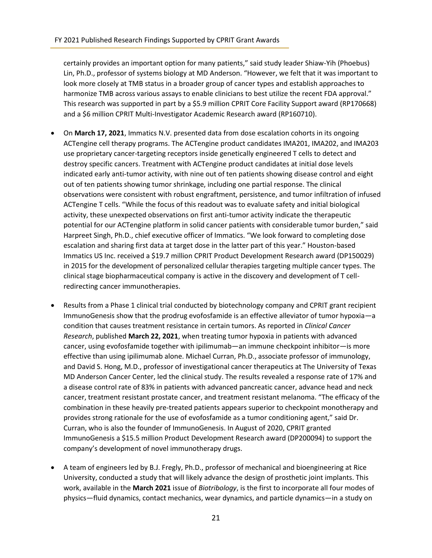certainly provides an important option for many patients," said study leader Shiaw-Yih (Phoebus) Lin, Ph.D., professor of systems biology at MD Anderson. "However, we felt that it was important to look more closely at TMB status in a broader group of cancer types and establish approaches to harmonize TMB across various assays to enable clinicians to best utilize the recent FDA approval." This research was supported in part by a \$5.9 million CPRIT Core Facility Support award (RP170668) and a \$6 million CPRIT Multi-Investigator Academic Research award (RP160710).

- On **March 17, 2021**, Immatics N.V. presented data from dose escalation cohorts in its ongoing ACTengine cell therapy programs. The ACTengine product candidates IMA201, IMA202, and IMA203 use proprietary cancer-targeting receptors inside genetically engineered T cells to detect and destroy specific cancers. Treatment with ACTengine product candidates at initial dose levels indicated early anti-tumor activity, with nine out of ten patients showing disease control and eight out of ten patients showing tumor shrinkage, including one partial response. The clinical observations were consistent with robust engraftment, persistence, and tumor infiltration of infused ACTengine T cells. "While the focus of this readout was to evaluate safety and initial biological activity, these unexpected observations on first anti-tumor activity indicate the therapeutic potential for our ACTengine platform in solid cancer patients with considerable tumor burden," said Harpreet Singh, Ph.D., chief executive officer of Immatics. "We look forward to completing dose escalation and sharing first data at target dose in the latter part of this year." Houston-based Immatics US Inc. received a \$19.7 million CPRIT Product Development Research award (DP150029) in 2015 for the development of personalized cellular therapies targeting multiple cancer types. The clinical stage biopharmaceutical company is active in the discovery and development of T cellredirecting cancer immunotherapies.
- Results from a Phase 1 clinical trial conducted by biotechnology company and CPRIT grant recipient ImmunoGenesis show that the prodrug evofosfamide is an effective alleviator of tumor hypoxia—a condition that causes treatment resistance in certain tumors. As reported in *Clinical Cancer Research*, published **March 22, 2021**, when treating tumor hypoxia in patients with advanced cancer, using evofosfamide together with ipilimumab—an immune checkpoint inhibitor—is more effective than using ipilimumab alone. Michael Curran, Ph.D., associate professor of immunology, and David S. Hong, M.D., professor of investigational cancer therapeutics at The University of Texas MD Anderson Cancer Center, led the clinical study. The results revealed a response rate of 17% and a disease control rate of 83% in patients with advanced pancreatic cancer, advance head and neck cancer, treatment resistant prostate cancer, and treatment resistant melanoma. "The efficacy of the combination in these heavily pre-treated patients appears superior to checkpoint monotherapy and provides strong rationale for the use of evofosfamide as a tumor conditioning agent," said Dr. Curran, who is also the founder of ImmunoGenesis. In August of 2020, CPRIT granted ImmunoGenesis a \$15.5 million Product Development Research award (DP200094) to support the company's development of novel immunotherapy drugs.
- A team of engineers led by B.J. Fregly, Ph.D., professor of mechanical and bioengineering at Rice University, conducted a study that will likely advance the design of prosthetic joint implants. This work, available in the **March 2021** issue of *Biotribology*, is the first to incorporate all four modes of physics—fluid dynamics, contact mechanics, wear dynamics, and particle dynamics—in a study on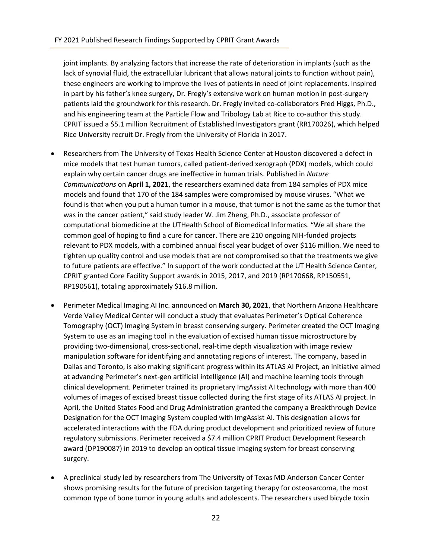joint implants. By analyzing factors that increase the rate of deterioration in implants (such as the lack of synovial fluid, the extracellular lubricant that allows natural joints to function without pain), these engineers are working to improve the lives of patients in need of joint replacements. Inspired in part by his father's knee surgery, Dr. Fregly's extensive work on human motion in post-surgery patients laid the groundwork for this research. Dr. Fregly invited co-collaborators Fred Higgs, Ph.D., and his engineering team at the Particle Flow and Tribology Lab at Rice to co-author this study. CPRIT issued a \$5.1 million Recruitment of Established Investigators grant (RR170026), which helped Rice University recruit Dr. Fregly from the University of Florida in 2017.

- Researchers from The University of Texas Health Science Center at Houston discovered a defect in mice models that test human tumors, called patient-derived xerograph (PDX) models, which could explain why certain cancer drugs are ineffective in human trials. Published in *Nature Communications* on **April 1, 2021**, the researchers examined data from 184 samples of PDX mice models and found that 170 of the 184 samples were compromised by mouse viruses. "What we found is that when you put a human tumor in a mouse, that tumor is not the same as the tumor that was in the cancer patient," said study leader W. Jim Zheng, Ph.D., associate professor of computational biomedicine at the UTHealth School of Biomedical Informatics. "We all share the common goal of hoping to find a cure for cancer. There are 210 ongoing NIH-funded projects relevant to PDX models, with a combined annual fiscal year budget of over \$116 million. We need to tighten up quality control and use models that are not compromised so that the treatments we give to future patients are effective." In support of the work conducted at the UT Health Science Center, CPRIT granted Core Facility Support awards in 2015, 2017, and 2019 (RP170668, RP150551, RP190561), totaling approximately \$16.8 million.
- Perimeter Medical Imaging AI Inc. announced on **March 30, 2021**, that Northern Arizona Healthcare Verde Valley Medical Center will conduct a study that evaluates Perimeter's Optical Coherence Tomography (OCT) Imaging System in breast conserving surgery. Perimeter created the OCT Imaging System to use as an imaging tool in the evaluation of excised human tissue microstructure by providing two-dimensional, cross-sectional, real-time depth visualization with image review manipulation software for identifying and annotating regions of interest. The company, based in Dallas and Toronto, is also making significant progress within its ATLAS AI Project, an initiative aimed at advancing Perimeter's next-gen artificial intelligence (AI) and machine learning tools through clinical development. Perimeter trained its proprietary ImgAssist AI technology with more than 400 volumes of images of excised breast tissue collected during the first stage of its ATLAS AI project. In April, the United States Food and Drug Administration granted the company a Breakthrough Device Designation for the OCT Imaging System coupled with ImgAssist AI. This designation allows for accelerated interactions with the FDA during product development and prioritized review of future regulatory submissions. Perimeter received a \$7.4 million CPRIT Product Development Research award (DP190087) in 2019 to develop an optical tissue imaging system for breast conserving surgery.
- A preclinical study led by researchers from The University of Texas MD Anderson Cancer Center shows promising results for the future of precision targeting therapy for osteosarcoma, the most common type of bone tumor in young adults and adolescents. The researchers used bicycle toxin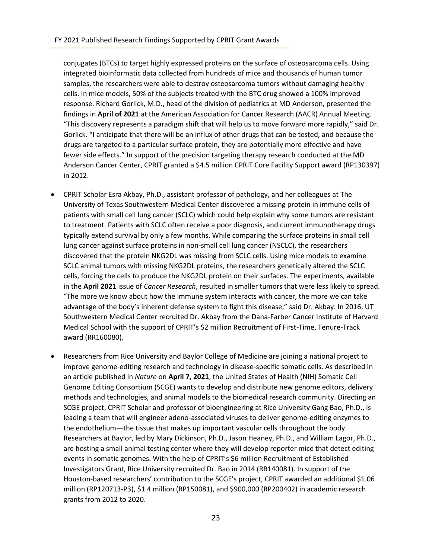conjugates (BTCs) to target highly expressed proteins on the surface of osteosarcoma cells. Using integrated bioinformatic data collected from hundreds of mice and thousands of human tumor samples, the researchers were able to destroy osteosarcoma tumors without damaging healthy cells. In mice models, 50% of the subjects treated with the BTC drug showed a 100% improved response. Richard Gorlick, M.D., head of the division of pediatrics at MD Anderson, presented the findings in **April of 2021** at the American Association for Cancer Research (AACR) Annual Meeting. "This discovery represents a paradigm shift that will help us to move forward more rapidly," said Dr. Gorlick. "I anticipate that there will be an influx of other drugs that can be tested, and because the drugs are targeted to a particular surface protein, they are potentially more effective and have fewer side effects." In support of the precision targeting therapy research conducted at the MD Anderson Cancer Center, CPRIT granted a \$4.5 million CPRIT Core Facility Support award (RP130397) in 2012.

- CPRIT Scholar Esra Akbay, Ph.D., assistant professor of pathology, and her colleagues at The University of Texas Southwestern Medical Center discovered a missing protein in immune cells of patients with small cell lung cancer (SCLC) which could help explain why some tumors are resistant to treatment. Patients with SCLC often receive a poor diagnosis, and current immunotherapy drugs typically extend survival by only a few months. While comparing the surface proteins in small cell lung cancer against surface proteins in non-small cell lung cancer (NSCLC), the researchers discovered that the protein NKG2DL was missing from SCLC cells. Using mice models to examine SCLC animal tumors with missing NKG2DL proteins, the researchers genetically altered the SCLC cells, forcing the cells to produce the NKG2DL protein on their surfaces. The experiments, available in the **April 2021** issue of *Cancer Research*, resulted in smaller tumors that were less likely to spread. "The more we know about how the immune system interacts with cancer, the more we can take advantage of the body's inherent defense system to fight this disease," said Dr. Akbay. In 2016, UT Southwestern Medical Center recruited Dr. Akbay from the Dana-Farber Cancer Institute of Harvard Medical School with the support of CPRIT's \$2 million Recruitment of First-Time, Tenure-Track award (RR160080).
- Researchers from Rice University and Baylor College of Medicine are joining a national project to improve genome-editing research and technology in disease-specific somatic cells. As described in an article published in *Nature* on **April 7, 2021**, the United States of Health (NIH) Somatic Cell Genome Editing Consortium (SCGE) wants to develop and distribute new genome editors, delivery methods and technologies, and animal models to the biomedical research community. Directing an SCGE project, CPRIT Scholar and professor of bioengineering at Rice University Gang Bao, Ph.D., is leading a team that will engineer adeno-associated viruses to deliver genome-editing enzymes to the endothelium—the tissue that makes up important vascular cells throughout the body. Researchers at Baylor, led by Mary Dickinson, Ph.D., Jason Heaney, Ph.D., and William Lagor, Ph.D., are hosting a small animal testing center where they will develop reporter mice that detect editing events in somatic genomes. With the help of CPRIT's \$6 million Recruitment of Established Investigators Grant, Rice University recruited Dr. Bao in 2014 (RR140081). In support of the Houston-based researchers' contribution to the SCGE's project, CPRIT awarded an additional \$1.06 million (RP120713-P3), \$1.4 million (RP150081), and \$900,000 (RP200402) in academic research grants from 2012 to 2020.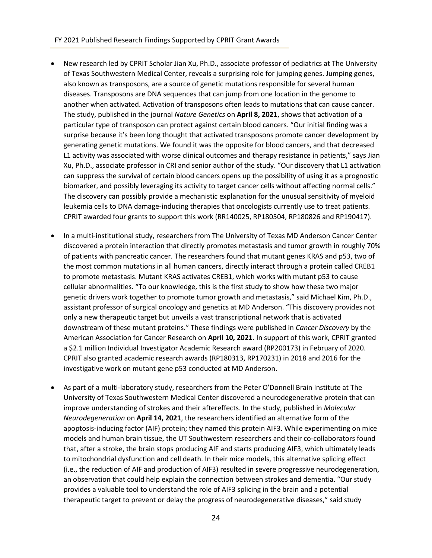- New research led by CPRIT Scholar Jian Xu, Ph.D., associate professor of pediatrics at The University of Texas Southwestern Medical Center, reveals a surprising role for jumping genes. Jumping genes, also known as transposons, are a source of genetic mutations responsible for several human diseases. Transposons are DNA sequences that can jump from one location in the genome to another when activated. Activation of transposons often leads to mutations that can cause cancer. The study, published in the journal *Nature Genetics* on **April 8, 2021**, shows that activation of a particular type of transposon can protect against certain blood cancers. "Our initial finding was a surprise because it's been long thought that activated transposons promote cancer development by generating genetic mutations. We found it was the opposite for blood cancers, and that decreased L1 activity was associated with worse clinical outcomes and therapy resistance in patients," says Jian Xu, Ph.D., associate professor in CRI and senior author of the study. "Our discovery that L1 activation can suppress the survival of certain blood cancers opens up the possibility of using it as a prognostic biomarker, and possibly leveraging its activity to target cancer cells without affecting normal cells." The discovery can possibly provide a mechanistic explanation for the unusual sensitivity of myeloid leukemia cells to DNA damage-inducing therapies that oncologists currently use to treat patients. CPRIT awarded four grants to support this work (RR140025, RP180504, RP180826 and RP190417).
- In a multi-institutional study, researchers from The University of Texas MD Anderson Cancer Center discovered a protein interaction that directly promotes metastasis and tumor growth in roughly 70% of patients with pancreatic cancer. The researchers found that mutant genes KRAS and p53, two of the most common mutations in all human cancers, directly interact through a protein called CREB1 to promote metastasis. Mutant KRAS activates CREB1, which works with mutant p53 to cause cellular abnormalities. "To our knowledge, this is the first study to show how these two major genetic drivers work together to promote tumor growth and metastasis," said Michael Kim, Ph.D., assistant professor of surgical oncology and genetics at MD Anderson. "This discovery provides not only a new therapeutic target but unveils a vast transcriptional network that is activated downstream of these mutant proteins." These findings were published in *Cancer Discovery* by the American Association for Cancer Research on **April 10, 2021**. In support of this work, CPRIT granted a \$2.1 million Individual Investigator Academic Research award (RP200173) in February of 2020. CPRIT also granted academic research awards (RP180313, RP170231) in 2018 and 2016 for the investigative work on mutant gene p53 conducted at MD Anderson.
- As part of a multi-laboratory study, researchers from the Peter O'Donnell Brain Institute at The University of Texas Southwestern Medical Center discovered a neurodegenerative protein that can improve understanding of strokes and their aftereffects. In the study, published in *Molecular Neurodegeneration* on **April 14, 2021**, the researchers identified an alternative form of the apoptosis-inducing factor (AIF) protein; they named this protein AIF3. While experimenting on mice models and human brain tissue, the UT Southwestern researchers and their co-collaborators found that, after a stroke, the brain stops producing AIF and starts producing AIF3, which ultimately leads to mitochondrial dysfunction and cell death. In their mice models, this alternative splicing effect (i.e., the reduction of AIF and production of AIF3) resulted in severe progressive neurodegeneration, an observation that could help explain the connection between strokes and dementia. "Our study provides a valuable tool to understand the role of AIF3 splicing in the brain and a potential therapeutic target to prevent or delay the progress of neurodegenerative diseases," said study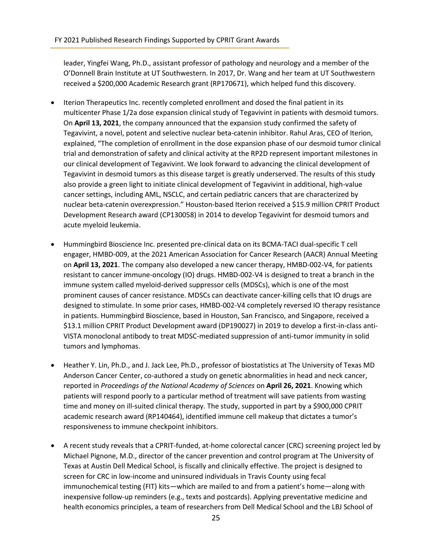leader, Yingfei Wang, Ph.D., assistant professor of pathology and neurology and a member of the O'Donnell Brain Institute at UT Southwestern. In 2017, Dr. Wang and her team at UT Southwestern received a \$200,000 Academic Research grant (RP170671), which helped fund this discovery.

- Iterion Therapeutics Inc. recently completed enrollment and dosed the final patient in its multicenter Phase 1/2a dose expansion clinical study of Tegavivint in patients with desmoid tumors. On **April 13, 2021**, the company announced that the expansion study confirmed the safety of Tegavivint, a novel, potent and selective nuclear beta-catenin inhibitor. Rahul Aras, CEO of Iterion, explained, "The completion of enrollment in the dose expansion phase of our desmoid tumor clinical trial and demonstration of safety and clinical activity at the RP2D represent important milestones in our clinical development of Tegavivint. We look forward to advancing the clinical development of Tegavivint in desmoid tumors as this disease target is greatly underserved. The results of this study also provide a green light to initiate clinical development of Tegavivint in additional, high-value cancer settings, including AML, NSCLC, and certain pediatric cancers that are characterized by nuclear beta-catenin overexpression." Houston-based Iterion received a \$15.9 million CPRIT Product Development Research award (CP130058) in 2014 to develop Tegavivint for desmoid tumors and acute myeloid leukemia.
- Hummingbird Bioscience Inc. presented pre-clinical data on its BCMA-TACI dual-specific T cell engager, HMBD-009, at the 2021 American Association for Cancer Research (AACR) Annual Meeting on **April 13, 2021**. The company also developed a new cancer therapy, HMBD-002-V4, for patients resistant to cancer immune-oncology (IO) drugs. HMBD-002-V4 is designed to treat a branch in the immune system called myeloid-derived suppressor cells (MDSCs), which is one of the most prominent causes of cancer resistance. MDSCs can deactivate cancer-killing cells that IO drugs are designed to stimulate. In some prior cases, HMBD-002-V4 completely reversed IO therapy resistance in patients. Hummingbird Bioscience, based in Houston, San Francisco, and Singapore, received a \$13.1 million CPRIT Product Development award (DP190027) in 2019 to develop a first-in-class anti-VISTA monoclonal antibody to treat MDSC-mediated suppression of anti-tumor immunity in solid tumors and lymphomas.
- Heather Y. Lin, Ph.D., and J. Jack Lee, Ph.D., professor of biostatistics at The University of Texas MD Anderson Cancer Center, co-authored a study on genetic abnormalities in head and neck cancer, reported in *Proceedings of the National Academy of Sciences* on **April 26, 2021**. Knowing which patients will respond poorly to a particular method of treatment will save patients from wasting time and money on ill-suited clinical therapy. The study, supported in part by a \$900,000 CPRIT academic research award (RP140464), identified immune cell makeup that dictates a tumor's responsiveness to immune checkpoint inhibitors.
- A recent study reveals that a CPRIT-funded, at-home colorectal cancer (CRC) screening project led by Michael Pignone, M.D., director of the cancer prevention and control program at The University of Texas at Austin Dell Medical School, is fiscally and clinically effective. The project is designed to screen for CRC in low-income and uninsured individuals in Travis County using fecal immunochemical testing (FIT) kits—which are mailed to and from a patient's home—along with inexpensive follow-up reminders (e.g., texts and postcards). Applying preventative medicine and health economics principles, a team of researchers from Dell Medical School and the LBJ School of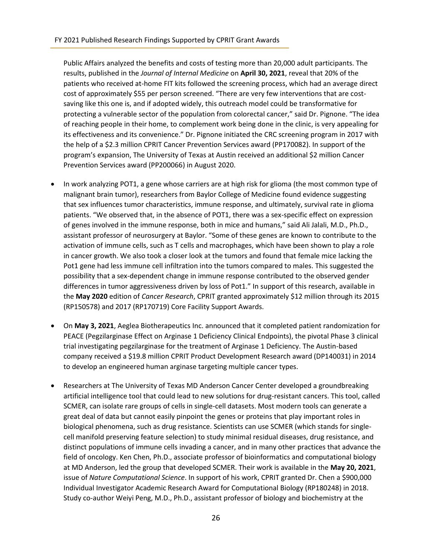Public Affairs analyzed the benefits and costs of testing more than 20,000 adult participants. The results, published in the *Journal of Internal Medicine* on **April 30, 2021**, reveal that 20% of the patients who received at-home FIT kits followed the screening process, which had an average direct cost of approximately \$55 per person screened. "There are very few interventions that are costsaving like this one is, and if adopted widely, this outreach model could be transformative for protecting a vulnerable sector of the population from colorectal cancer," said Dr. Pignone. "The idea of reaching people in their home, to complement work being done in the clinic, is very appealing for its effectiveness and its convenience." Dr. Pignone initiated the CRC screening program in 2017 with the help of a \$2.3 million CPRIT Cancer Prevention Services award (PP170082). In support of the program's expansion, The University of Texas at Austin received an additional \$2 million Cancer Prevention Services award (PP200066) in August 2020.

- In work analyzing POT1, a gene whose carriers are at high risk for glioma (the most common type of malignant brain tumor), researchers from Baylor College of Medicine found evidence suggesting that sex influences tumor characteristics, immune response, and ultimately, survival rate in glioma patients. "We observed that, in the absence of POT1, there was a sex-specific effect on expression of genes involved in the immune response, both in mice and humans," said Ali Jalali, M.D., Ph.D., assistant professor of neurosurgery at Baylor. "Some of these genes are known to contribute to the activation of immune cells, such as T cells and macrophages, which have been shown to play a role in cancer growth. We also took a closer look at the tumors and found that female mice lacking the Pot1 gene had less immune cell infiltration into the tumors compared to males. This suggested the possibility that a sex-dependent change in immune response contributed to the observed gender differences in tumor aggressiveness driven by loss of Pot1." In support of this research, available in the **May 2020** edition of *Cancer Research*, CPRIT granted approximately \$12 million through its 2015 (RP150578) and 2017 (RP170719) Core Facility Support Awards.
- On **May 3, 2021**, Aeglea Biotherapeutics Inc. announced that it completed patient randomization for PEACE (Pegzilarginase Effect on Arginase 1 Deficiency Clinical Endpoints), the pivotal Phase 3 clinical trial investigating pegzilarginase for the treatment of Arginase 1 Deficiency. The Austin-based company received a \$19.8 million CPRIT Product Development Research award (DP140031) in 2014 to develop an engineered human arginase targeting multiple cancer types.
- Researchers at The University of Texas MD Anderson Cancer Center developed a groundbreaking artificial intelligence tool that could lead to new solutions for drug-resistant cancers. This tool, called SCMER, can isolate rare groups of cells in single-cell datasets. Most modern tools can generate a great deal of data but cannot easily pinpoint the genes or proteins that play important roles in biological phenomena, such as drug resistance. Scientists can use SCMER (which stands for singlecell manifold preserving feature selection) to study minimal residual diseases, drug resistance, and distinct populations of immune cells invading a cancer, and in many other practices that advance the field of oncology. Ken Chen, Ph.D., associate professor of bioinformatics and computational biology at MD Anderson, led the group that developed SCMER. Their work is available in the **May 20, 2021**, issue of *Nature Computational Science*. In support of his work, CPRIT granted Dr. Chen a \$900,000 Individual Investigator Academic Research Award for Computational Biology (RP180248) in 2018. Study co-author Weiyi Peng, M.D., Ph.D., assistant professor of biology and biochemistry at the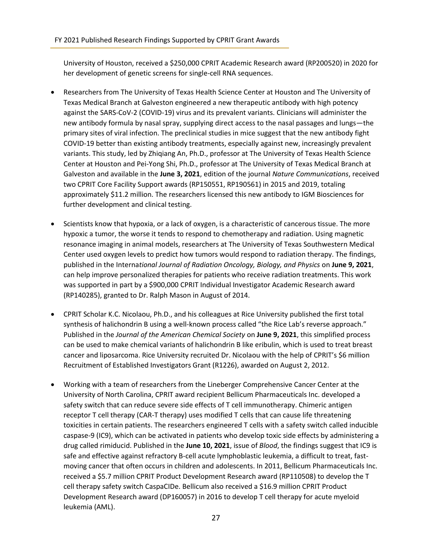University of Houston, received a \$250,000 CPRIT Academic Research award (RP200520) in 2020 for her development of genetic screens for single-cell RNA sequences.

- Researchers from The University of Texas Health Science Center at Houston and The University of Texas Medical Branch at Galveston engineered a new therapeutic antibody with high potency against the SARS-CoV-2 (COVID-19) virus and its prevalent variants. Clinicians will administer the new antibody formula by nasal spray, supplying direct access to the nasal passages and lungs—the primary sites of viral infection. The preclinical studies in mice suggest that the new antibody fight COVID-19 better than existing antibody treatments, especially against new, increasingly prevalent variants. This study, led by Zhiqiang An, Ph.D., professor at The University of Texas Health Science Center at Houston and Pei-Yong Shi, Ph.D., professor at The University of Texas Medical Branch at Galveston and available in the **June 3, 2021**, edition of the journal *Nature Communications*, received two CPRIT Core Facility Support awards (RP150551, RP190561) in 2015 and 2019, totaling approximately \$11.2 million. The researchers licensed this new antibody to IGM Biosciences for further development and clinical testing.
- Scientists know that hypoxia, or a lack of oxygen, is a characteristic of cancerous tissue. The more hypoxic a tumor, the worse it tends to respond to chemotherapy and radiation. Using magnetic resonance imaging in animal models, researchers at The University of Texas Southwestern Medical Center used oxygen levels to predict how tumors would respond to radiation therapy. The findings, published in the Interna*tional Journal of Radiation Oncology, Biology, and Physics* on **June 9, 2021**, can help improve personalized therapies for patients who receive radiation treatments. This work was supported in part by a \$900,000 CPRIT Individual Investigator Academic Research award (RP140285), granted to Dr. Ralph Mason in August of 2014.
- CPRIT Scholar K.C. Nicolaou, Ph.D., and his colleagues at Rice University published the first total synthesis of halichondrin B using a well-known process called "the Rice Lab's reverse approach." Published in the *Journal of the American Chemical Society* on **June 9, 2021**, this simplified process can be used to make chemical variants of halichondrin B like eribulin, which is used to treat breast cancer and liposarcoma. Rice University recruited Dr. Nicolaou with the help of CPRIT's \$6 million Recruitment of Established Investigators Grant (R1226), awarded on August 2, 2012.
- Working with a team of researchers from the Lineberger Comprehensive Cancer Center at the University of North Carolina, CPRIT award recipient Bellicum Pharmaceuticals Inc. developed a safety switch that can reduce severe side effects of T cell immunotherapy. Chimeric antigen receptor T cell therapy (CAR-T therapy) uses modified T cells that can cause life threatening toxicities in certain patients. The researchers engineered T cells with a safety switch called inducible caspase-9 (IC9), which can be activated in patients who develop toxic side effects by administering a drug called rimiducid. Published in the **June 10, 2021**, issue of *Blood*, the findings suggest that IC9 is safe and effective against refractory B-cell acute lymphoblastic leukemia, a difficult to treat, fastmoving cancer that often occurs in children and adolescents. In 2011, Bellicum Pharmaceuticals Inc. received a \$5.7 million CPRIT Product Development Research award (RP110508) to develop the T cell therapy safety switch CaspaCIDe. Bellicum also received a \$16.9 million CPRIT Product Development Research award (DP160057) in 2016 to develop T cell therapy for acute myeloid leukemia (AML).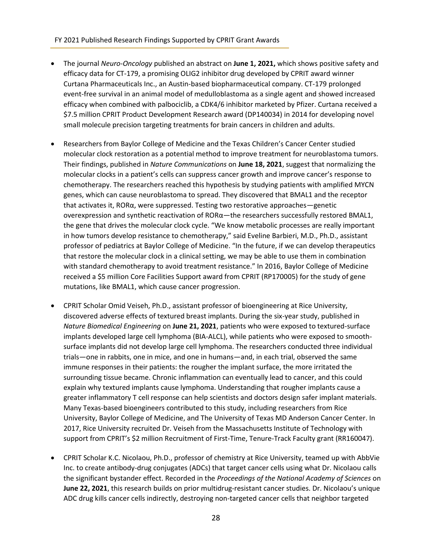### FY 2021 Published Research Findings Supported by CPRIT Grant Awards

- The journal *Neuro-Oncology* published an abstract on **June 1, 2021,** which shows positive safety and efficacy data for CT-179, a promising OLIG2 inhibitor drug developed by CPRIT award winner Curtana Pharmaceuticals Inc., an Austin-based biopharmaceutical company. CT-179 prolonged event-free survival in an animal model of medulloblastoma as a single agent and showed increased efficacy when combined with palbociclib, a CDK4/6 inhibitor marketed by Pfizer. Curtana received a \$7.5 million CPRIT Product Development Research award (DP140034) in 2014 for developing novel small molecule precision targeting treatments for brain cancers in children and adults.
- Researchers from Baylor College of Medicine and the Texas Children's Cancer Center studied molecular clock restoration as a potential method to improve treatment for neuroblastoma tumors. Their findings, published in *Nature Communications* on **June 18, 2021**, suggest that normalizing the molecular clocks in a patient's cells can suppress cancer growth and improve cancer's response to chemotherapy. The researchers reached this hypothesis by studying patients with amplified MYCN genes, which can cause neuroblastoma to spread. They discovered that BMAL1 and the receptor that activates it, RORα, were suppressed. Testing two restorative approaches—genetic overexpression and synthetic reactivation of  $ROR\alpha$ —the researchers successfully restored BMAL1, the gene that drives the molecular clock cycle. "We know metabolic processes are really important in how tumors develop resistance to chemotherapy," said Eveline Barbieri, M.D., Ph.D., assistant professor of pediatrics at Baylor College of Medicine. "In the future, if we can develop therapeutics that restore the molecular clock in a clinical setting, we may be able to use them in combination with standard chemotherapy to avoid treatment resistance." In 2016, Baylor College of Medicine received a \$5 million Core Facilities Support award from CPRIT (RP170005) for the study of gene mutations, like BMAL1, which cause cancer progression.
- CPRIT Scholar Omid Veiseh, Ph.D., assistant professor of bioengineering at Rice University, discovered adverse effects of textured breast implants. During the six-year study, published in *Nature Biomedical Engineering* on **June 21, 2021**, patients who were exposed to textured-surface implants developed large cell lymphoma (BIA-ALCL), while patients who were exposed to smoothsurface implants did not develop large cell lymphoma. The researchers conducted three individual trials—one in rabbits, one in mice, and one in humans—and, in each trial, observed the same immune responses in their patients: the rougher the implant surface, the more irritated the surrounding tissue became. Chronic inflammation can eventually lead to cancer, and this could explain why textured implants cause lymphoma. Understanding that rougher implants cause a greater inflammatory T cell response can help scientists and doctors design safer implant materials. Many Texas-based bioengineers contributed to this study, including researchers from Rice University, Baylor College of Medicine, and The University of Texas MD Anderson Cancer Center. In 2017, Rice University recruited Dr. Veiseh from the Massachusetts Institute of Technology with support from CPRIT's \$2 million Recruitment of First-Time, Tenure-Track Faculty grant (RR160047).
- CPRIT Scholar K.C. Nicolaou, Ph.D., professor of chemistry at Rice University, teamed up with AbbVie Inc. to create antibody-drug conjugates (ADCs) that target cancer cells using what Dr. Nicolaou calls the significant bystander effect. Recorded in the *Proceedings of the National Academy of Sciences* on **June 22, 2021**, this research builds on prior multidrug-resistant cancer studies. Dr. Nicolaou's unique ADC drug kills cancer cells indirectly, destroying non-targeted cancer cells that neighbor targeted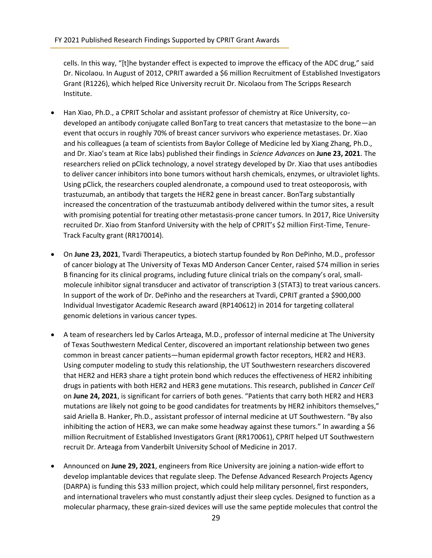cells. In this way, "[t]he bystander effect is expected to improve the efficacy of the ADC drug," said Dr. Nicolaou. In August of 2012, CPRIT awarded a \$6 million Recruitment of Established Investigators Grant (R1226), which helped Rice University recruit Dr. Nicolaou from The Scripps Research Institute.

- Han Xiao, Ph.D., a CPRIT Scholar and assistant professor of chemistry at Rice University, codeveloped an antibody conjugate called BonTarg to treat cancers that metastasize to the bone—an event that occurs in roughly 70% of breast cancer survivors who experience metastases. Dr. Xiao and his colleagues (a team of scientists from Baylor College of Medicine led by Xiang Zhang, Ph.D., and Dr. Xiao's team at Rice labs) published their findings in *Science Advances* on **June 23, 2021**. The researchers relied on pClick technology, a novel strategy developed by Dr. Xiao that uses antibodies to deliver cancer inhibitors into bone tumors without harsh chemicals, enzymes, or ultraviolet lights. Using pClick, the researchers coupled alendronate, a compound used to treat osteoporosis, with trastuzumab, an antibody that targets the HER2 gene in breast cancer. BonTarg substantially increased the concentration of the trastuzumab antibody delivered within the tumor sites, a result with promising potential for treating other metastasis-prone cancer tumors. In 2017, Rice University recruited Dr. Xiao from Stanford University with the help of CPRIT's \$2 million First-Time, Tenure-Track Faculty grant (RR170014).
- On **June 23, 2021**, Tvardi Therapeutics, a biotech startup founded by Ron DePinho, M.D., professor of cancer biology at The University of Texas MD Anderson Cancer Center, raised \$74 million in series B financing for its clinical programs, including future clinical trials on the company's oral, smallmolecule inhibitor signal transducer and activator of transcription 3 (STAT3) to treat various cancers. In support of the work of Dr. DePinho and the researchers at Tvardi, CPRIT granted a \$900,000 Individual Investigator Academic Research award (RP140612) in 2014 for targeting collateral genomic deletions in various cancer types.
- A team of researchers led by Carlos Arteaga, M.D., professor of internal medicine at The University of Texas Southwestern Medical Center, discovered an important relationship between two genes common in breast cancer patients—human epidermal growth factor receptors, HER2 and HER3. Using computer modeling to study this relationship, the UT Southwestern researchers discovered that HER2 and HER3 share a tight protein bond which reduces the effectiveness of HER2 inhibiting drugs in patients with both HER2 and HER3 gene mutations. This research, published in *Cancer Cell* on **June 24, 2021**, is significant for carriers of both genes. "Patients that carry both HER2 and HER3 mutations are likely not going to be good candidates for treatments by HER2 inhibitors themselves," said Ariella B. Hanker, Ph.D., assistant professor of internal medicine at UT Southwestern. "By also inhibiting the action of HER3, we can make some headway against these tumors." In awarding a \$6 million Recruitment of Established Investigators Grant (RR170061), CPRIT helped UT Southwestern recruit Dr. Arteaga from Vanderbilt University School of Medicine in 2017.
- Announced on **June 29, 2021**, engineers from Rice University are joining a nation-wide effort to develop implantable devices that regulate sleep. The Defense Advanced Research Projects Agency (DARPA) is funding this \$33 million project, which could help military personnel, first responders, and international travelers who must constantly adjust their sleep cycles. Designed to function as a molecular pharmacy, these grain-sized devices will use the same peptide molecules that control the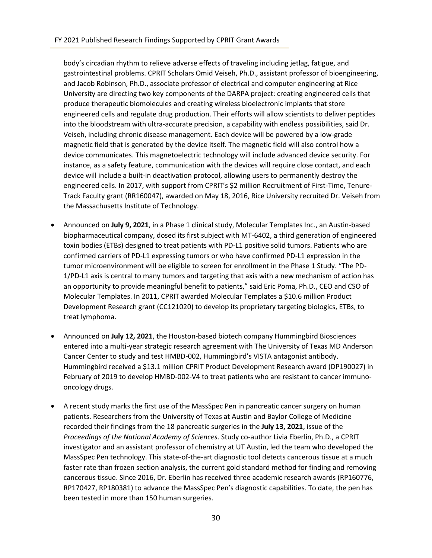body's circadian rhythm to relieve adverse effects of traveling including jetlag, fatigue, and gastrointestinal problems. CPRIT Scholars Omid Veiseh, Ph.D., assistant professor of bioengineering, and Jacob Robinson, Ph.D., associate professor of electrical and computer engineering at Rice University are directing two key components of the DARPA project: creating engineered cells that produce therapeutic biomolecules and creating wireless bioelectronic implants that store engineered cells and regulate drug production. Their efforts will allow scientists to deliver peptides into the bloodstream with ultra-accurate precision, a capability with endless possibilities, said Dr. Veiseh, including chronic disease management. Each device will be powered by a low-grade magnetic field that is generated by the device itself. The magnetic field will also control how a device communicates. This magnetoelectric technology will include advanced device security. For instance, as a safety feature, communication with the devices will require close contact, and each device will include a built-in deactivation protocol, allowing users to permanently destroy the engineered cells. In 2017, with support from CPRIT's \$2 million Recruitment of First-Time, Tenure-Track Faculty grant (RR160047), awarded on May 18, 2016, Rice University recruited Dr. Veiseh from the Massachusetts Institute of Technology.

- Announced on **July 9, 2021**, in a Phase 1 clinical study, Molecular Templates Inc., an Austin-based biopharmaceutical company, dosed its first subject with MT-6402, a third generation of engineered toxin bodies (ETBs) designed to treat patients with PD-L1 positive solid tumors. Patients who are confirmed carriers of PD-L1 expressing tumors or who have confirmed PD-L1 expression in the tumor microenvironment will be eligible to screen for enrollment in the Phase 1 Study. "The PD-1/PD-L1 axis is central to many tumors and targeting that axis with a new mechanism of action has an opportunity to provide meaningful benefit to patients," said Eric Poma, Ph.D., CEO and CSO of Molecular Templates. In 2011, CPRIT awarded Molecular Templates a \$10.6 million Product Development Research grant (CC121020) to develop its proprietary targeting biologics, ETBs, to treat lymphoma.
- Announced on **July 12, 2021**, the Houston-based biotech company Hummingbird Biosciences entered into a multi-year strategic research agreement with The University of Texas MD Anderson Cancer Center to study and test HMBD-002, Hummingbird's VISTA antagonist antibody. Hummingbird received a \$13.1 million CPRIT Product Development Research award (DP190027) in February of 2019 to develop HMBD-002-V4 to treat patients who are resistant to cancer immunooncology drugs.
- A recent study marks the first use of the MassSpec Pen in pancreatic cancer surgery on human patients. Researchers from the University of Texas at Austin and Baylor College of Medicine recorded their findings from the 18 pancreatic surgeries in the **July 13, 2021**, issue of the *Proceedings of the National Academy of Sciences*. Study co-author Livia Eberlin, Ph.D., a CPRIT investigator and an assistant professor of chemistry at UT Austin, led the team who developed the MassSpec Pen technology. This state-of-the-art diagnostic tool detects cancerous tissue at a much faster rate than frozen section analysis, the current gold standard method for finding and removing cancerous tissue. Since 2016, Dr. Eberlin has received three academic research awards (RP160776, RP170427, RP180381) to advance the MassSpec Pen's diagnostic capabilities. To date, the pen has been tested in more than 150 human surgeries.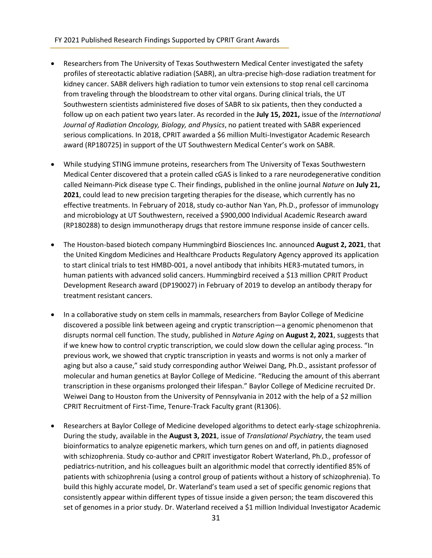## FY 2021 Published Research Findings Supported by CPRIT Grant Awards

- Researchers from The University of Texas Southwestern Medical Center investigated the safety profiles of stereotactic ablative radiation (SABR), an ultra-precise high-dose radiation treatment for kidney cancer. SABR delivers high radiation to tumor vein extensions to stop renal cell carcinoma from traveling through the bloodstream to other vital organs. During clinical trials, the UT Southwestern scientists administered five doses of SABR to six patients, then they conducted a follow up on each patient two years later. As recorded in the **July 15, 2021,** issue of the *International Journal of Radiation Oncology, Biology, and Physics*, no patient treated with SABR experienced serious complications. In 2018, CPRIT awarded a \$6 million Multi-Investigator Academic Research award (RP180725) in support of the UT Southwestern Medical Center's work on SABR.
- While studying STING immune proteins, researchers from The University of Texas Southwestern Medical Center discovered that a protein called cGAS is linked to a rare neurodegenerative condition called Neimann-Pick disease type C. Their findings, published in the online journal *Nature* on **July 21, 2021**, could lead to new precision targeting therapies for the disease, which currently has no effective treatments. In February of 2018, study co-author Nan Yan, Ph.D., professor of immunology and microbiology at UT Southwestern, received a \$900,000 Individual Academic Research award (RP180288) to design immunotherapy drugs that restore immune response inside of cancer cells.
- The Houston-based biotech company Hummingbird Biosciences Inc. announced **August 2, 2021**, that the United Kingdom Medicines and Healthcare Products Regulatory Agency approved its application to start clinical trials to test HMBD-001, a novel antibody that inhibits HER3-mutated tumors, in human patients with advanced solid cancers. Hummingbird received a \$13 million CPRIT Product Development Research award (DP190027) in February of 2019 to develop an antibody therapy for treatment resistant cancers.
- In a collaborative study on stem cells in mammals, researchers from Baylor College of Medicine discovered a possible link between ageing and cryptic transcription—a genomic phenomenon that disrupts normal cell function. The study, published in *Nature Aging* on **August 2, 2021**, suggests that if we knew how to control cryptic transcription, we could slow down the cellular aging process. "In previous work, we showed that cryptic transcription in yeasts and worms is not only a marker of aging but also a cause," said study corresponding author Weiwei Dang, Ph.D., assistant professor of molecular and human genetics at Baylor College of Medicine. "Reducing the amount of this aberrant transcription in these organisms prolonged their lifespan." Baylor College of Medicine recruited Dr. Weiwei Dang to Houston from the University of Pennsylvania in 2012 with the help of a \$2 million CPRIT Recruitment of First-Time, Tenure-Track Faculty grant (R1306).
- Researchers at Baylor College of Medicine developed algorithms to detect early-stage schizophrenia. During the study, available in the **August 3, 2021**, issue of *Translational Psychiatry*, the team used bioinformatics to analyze epigenetic markers, which turn genes on and off, in patients diagnosed with schizophrenia. Study co-author and CPRIT investigator Robert Waterland, Ph.D., professor of pediatrics-nutrition, and his colleagues built an algorithmic model that correctly identified 85% of patients with schizophrenia (using a control group of patients without a history of schizophrenia). To build this highly accurate model, Dr. Waterland's team used a set of specific genomic regions that consistently appear within different types of tissue inside a given person; the team discovered this set of genomes in a prior study. Dr. Waterland received a \$1 million Individual Investigator Academic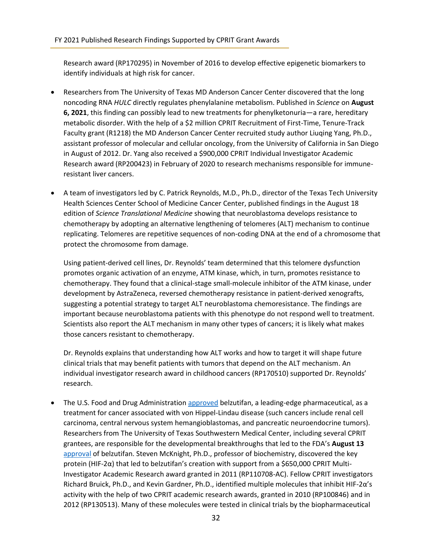Research award (RP170295) in November of 2016 to develop effective epigenetic biomarkers to identify individuals at high risk for cancer.

- Researchers from The University of Texas MD Anderson Cancer Center discovered that the long noncoding RNA *HULC* directly regulates phenylalanine metabolism. Published in *Science* on **August 6, 2021**, this finding can possibly lead to new treatments for phenylketonuria—a rare, hereditary metabolic disorder. With the help of a \$2 million CPRIT Recruitment of First-Time, Tenure-Track Faculty grant (R1218) the MD Anderson Cancer Center recruited study author Liuqing Yang, Ph.D., assistant professor of molecular and cellular oncology, from the University of California in San Diego in August of 2012. Dr. Yang also received a \$900,000 CPRIT Individual Investigator Academic Research award (RP200423) in February of 2020 to research mechanisms responsible for immuneresistant liver cancers.
- A team of investigators led by C. Patrick Reynolds, M.D., Ph.D., director of the Texas Tech University Health Sciences Center School of Medicine Cancer Center, published findings in the August 18 edition of *Science Translational Medicine* showing that neuroblastoma develops resistance to chemotherapy by adopting an alternative lengthening of telomeres (ALT) mechanism to continue replicating. Telomeres are repetitive sequences of non-coding DNA at the end of a chromosome that protect the chromosome from damage.

Using patient-derived cell lines, Dr. Reynolds' team determined that this telomere dysfunction promotes organic activation of an enzyme, ATM kinase, which, in turn, promotes resistance to chemotherapy. They found that a clinical-stage small-molecule inhibitor of the ATM kinase, under development by AstraZeneca, reversed chemotherapy resistance in patient-derived xenografts, suggesting a potential strategy to target ALT neuroblastoma chemoresistance. The findings are important because neuroblastoma patients with this phenotype do not respond well to treatment. Scientists also report the ALT mechanism in many other types of cancers; it is likely what makes those cancers resistant to chemotherapy.

Dr. Reynolds explains that understanding how ALT works and how to target it will shape future clinical trials that may benefit patients with tumors that depend on the ALT mechanism. An individual investigator research award in childhood cancers (RP170510) supported Dr. Reynolds' research.

The U.S. Food and Drug Administratio[n approved](https://www.utsouthwestern.edu/newsroom/articles/year-2021/fda-approval-belzutifan.html) belzutifan, a leading-edge pharmaceutical, as a treatment for cancer associated with von Hippel-Lindau disease (such cancers include renal cell carcinoma, central nervous system hemangioblastomas, and pancreatic neuroendocrine tumors). Researchers from The University of Texas Southwestern Medical Center, including several CPRIT grantees, are responsible for the developmental breakthroughs that led to the FDA's **August 13** [approval](https://www.fda.gov/drugs/resources-information-approved-drugs/fda-approves-belzutifan-cancers-associated-von-hippel-lindau-disease) of belzutifan. Steven McKnight, Ph.D., professor of biochemistry, discovered the key protein (HIF-2α) that led to belzutifan's creation with support from a \$650,000 CPRIT Multi-Investigator Academic Research award granted in 2011 (RP110708-AC). Fellow CPRIT investigators Richard Bruick, Ph.D., and Kevin Gardner, Ph.D., identified multiple molecules that inhibit HIF-2α's activity with the help of two CPRIT academic research awards, granted in 2010 (RP100846) and in 2012 (RP130513). Many of these molecules were tested in clinical trials by the biopharmaceutical